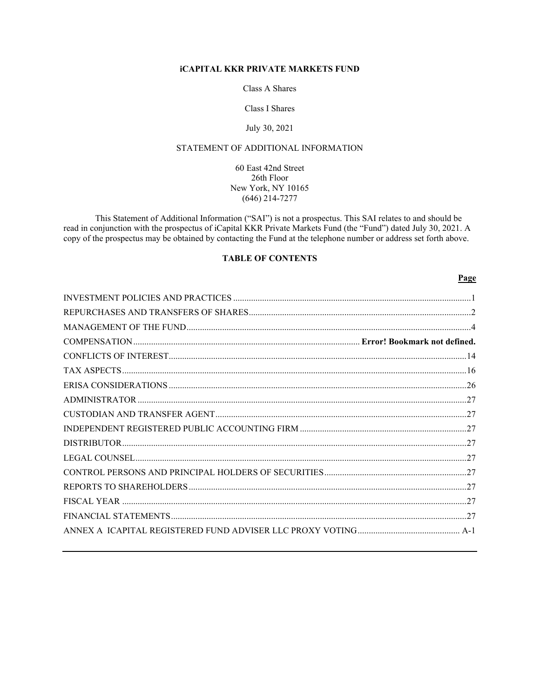## **iCAPITAL KKR PRIVATE MARKETS FUND**

Class A Shares

Class I Shares

## July 30, 2021

# STATEMENT OF ADDITIONAL INFORMATION

60 East 42nd Street 26th Floor New York, NY 10165  $(646)$  214-7277

This Statement of Additional Information ("SAI") is not a prospectus. This SAI relates to and should be read in conjunction with the prospectus of iCapital KKR Private Markets Fund (the "Fund") dated July 30, 2021. A copy of the prospectus may be obtained by contacting the Fund at the telephone number or address set forth above.

# **TABLE OF CONTENTS**

## Page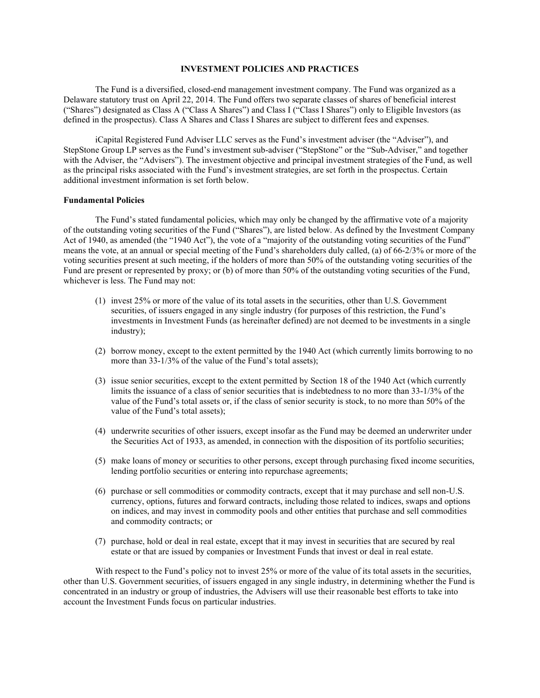## **INVESTMENT POLICIES AND PRACTICES**

<span id="page-1-0"></span>The Fund is a diversified, closed-end management investment company. The Fund was organized as a Delaware statutory trust on April 22, 2014. The Fund offers two separate classes of shares of beneficial interest ("Shares") designated as Class A ("Class A Shares") and Class I ("Class I Shares") only to Eligible Investors (as defined in the prospectus). Class A Shares and Class I Shares are subject to different fees and expenses.

iCapital Registered Fund Adviser LLC serves as the Fund's investment adviser (the "Adviser"), and StepStone Group LP serves as the Fund's investment sub-adviser ("StepStone" or the "Sub-Adviser," and together with the Adviser, the "Advisers"). The investment objective and principal investment strategies of the Fund, as well as the principal risks associated with the Fund's investment strategies, are set forth in the prospectus. Certain additional investment information is set forth below.

#### **Fundamental Policies**

The Fund's stated fundamental policies, which may only be changed by the affirmative vote of a majority of the outstanding voting securities of the Fund ("Shares"), are listed below. As defined by the Investment Company Act of 1940, as amended (the "1940 Act"), the vote of a "majority of the outstanding voting securities of the Fund" means the vote, at an annual or special meeting of the Fund's shareholders duly called, (a) of 66-2/3% or more of the voting securities present at such meeting, if the holders of more than 50% of the outstanding voting securities of the Fund are present or represented by proxy; or (b) of more than 50% of the outstanding voting securities of the Fund, whichever is less. The Fund may not:

- (1) invest 25% or more of the value of its total assets in the securities, other than U.S. Government securities, of issuers engaged in any single industry (for purposes of this restriction, the Fund's investments in Investment Funds (as hereinafter defined) are not deemed to be investments in a single industry);
- (2) borrow money, except to the extent permitted by the 1940 Act (which currently limits borrowing to no more than 33-1/3% of the value of the Fund's total assets);
- (3) issue senior securities, except to the extent permitted by Section 18 of the 1940 Act (which currently limits the issuance of a class of senior securities that is indebtedness to no more than 33-1/3% of the value of the Fund's total assets or, if the class of senior security is stock, to no more than 50% of the value of the Fund's total assets);
- (4) underwrite securities of other issuers, except insofar as the Fund may be deemed an underwriter under the Securities Act of 1933, as amended, in connection with the disposition of its portfolio securities;
- (5) make loans of money or securities to other persons, except through purchasing fixed income securities, lending portfolio securities or entering into repurchase agreements;
- (6) purchase or sell commodities or commodity contracts, except that it may purchase and sell non-U.S. currency, options, futures and forward contracts, including those related to indices, swaps and options on indices, and may invest in commodity pools and other entities that purchase and sell commodities and commodity contracts; or
- (7) purchase, hold or deal in real estate, except that it may invest in securities that are secured by real estate or that are issued by companies or Investment Funds that invest or deal in real estate.

With respect to the Fund's policy not to invest 25% or more of the value of its total assets in the securities, other than U.S. Government securities, of issuers engaged in any single industry, in determining whether the Fund is concentrated in an industry or group of industries, the Advisers will use their reasonable best efforts to take into account the Investment Funds focus on particular industries.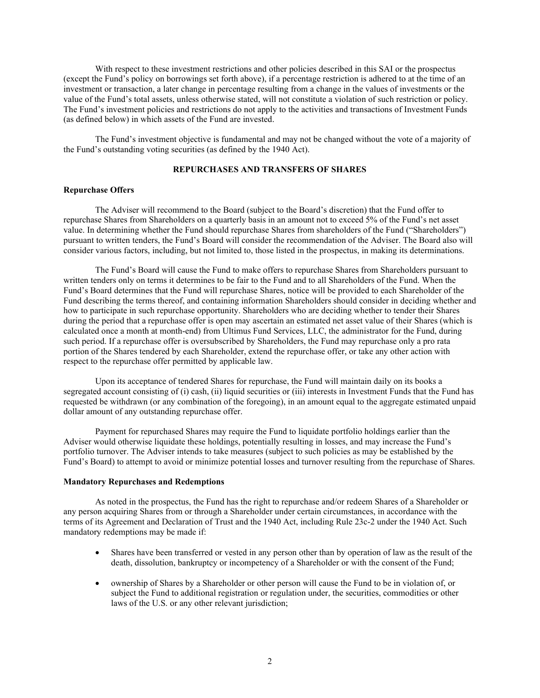With respect to these investment restrictions and other policies described in this SAI or the prospectus (except the Fund's policy on borrowings set forth above), if a percentage restriction is adhered to at the time of an investment or transaction, a later change in percentage resulting from a change in the values of investments or the value of the Fund's total assets, unless otherwise stated, will not constitute a violation of such restriction or policy. The Fund's investment policies and restrictions do not apply to the activities and transactions of Investment Funds (as defined below) in which assets of the Fund are invested.

The Fund's investment objective is fundamental and may not be changed without the vote of a majority of the Fund's outstanding voting securities (as defined by the 1940 Act).

## **REPURCHASES AND TRANSFERS OF SHARES**

#### <span id="page-2-0"></span>**Repurchase Offers**

The Adviser will recommend to the Board (subject to the Board's discretion) that the Fund offer to repurchase Shares from Shareholders on a quarterly basis in an amount not to exceed 5% of the Fund's net asset value. In determining whether the Fund should repurchase Shares from shareholders of the Fund ("Shareholders") pursuant to written tenders, the Fund's Board will consider the recommendation of the Adviser. The Board also will consider various factors, including, but not limited to, those listed in the prospectus, in making its determinations.

The Fund's Board will cause the Fund to make offers to repurchase Shares from Shareholders pursuant to written tenders only on terms it determines to be fair to the Fund and to all Shareholders of the Fund. When the Fund's Board determines that the Fund will repurchase Shares, notice will be provided to each Shareholder of the Fund describing the terms thereof, and containing information Shareholders should consider in deciding whether and how to participate in such repurchase opportunity. Shareholders who are deciding whether to tender their Shares during the period that a repurchase offer is open may ascertain an estimated net asset value of their Shares (which is calculated once a month at month-end) from Ultimus Fund Services, LLC, the administrator for the Fund, during such period. If a repurchase offer is oversubscribed by Shareholders, the Fund may repurchase only a pro rata portion of the Shares tendered by each Shareholder, extend the repurchase offer, or take any other action with respect to the repurchase offer permitted by applicable law.

Upon its acceptance of tendered Shares for repurchase, the Fund will maintain daily on its books a segregated account consisting of (i) cash, (ii) liquid securities or (iii) interests in Investment Funds that the Fund has requested be withdrawn (or any combination of the foregoing), in an amount equal to the aggregate estimated unpaid dollar amount of any outstanding repurchase offer.

Payment for repurchased Shares may require the Fund to liquidate portfolio holdings earlier than the Adviser would otherwise liquidate these holdings, potentially resulting in losses, and may increase the Fund's portfolio turnover. The Adviser intends to take measures (subject to such policies as may be established by the Fund's Board) to attempt to avoid or minimize potential losses and turnover resulting from the repurchase of Shares.

#### **Mandatory Repurchases and Redemptions**

As noted in the prospectus, the Fund has the right to repurchase and/or redeem Shares of a Shareholder or any person acquiring Shares from or through a Shareholder under certain circumstances, in accordance with the terms of its Agreement and Declaration of Trust and the 1940 Act, including Rule 23c-2 under the 1940 Act. Such mandatory redemptions may be made if:

- Shares have been transferred or vested in any person other than by operation of law as the result of the death, dissolution, bankruptcy or incompetency of a Shareholder or with the consent of the Fund;
- ownership of Shares by a Shareholder or other person will cause the Fund to be in violation of, or subject the Fund to additional registration or regulation under, the securities, commodities or other laws of the U.S. or any other relevant jurisdiction;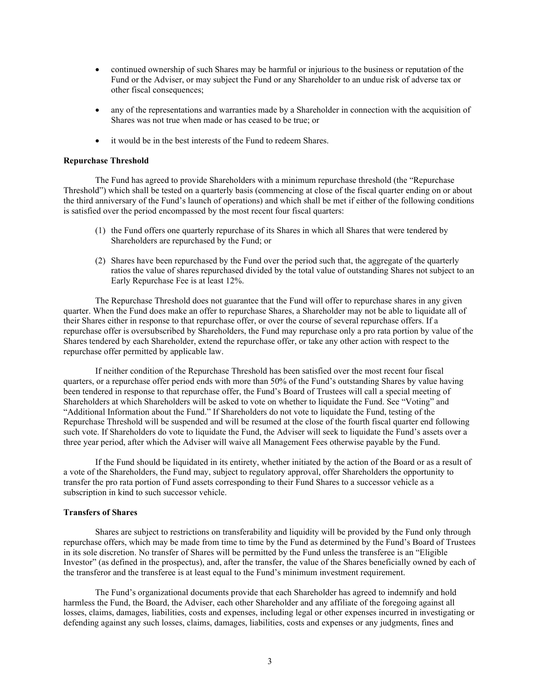- continued ownership of such Shares may be harmful or injurious to the business or reputation of the Fund or the Adviser, or may subject the Fund or any Shareholder to an undue risk of adverse tax or other fiscal consequences;
- any of the representations and warranties made by a Shareholder in connection with the acquisition of Shares was not true when made or has ceased to be true; or
- it would be in the best interests of the Fund to redeem Shares.

#### **Repurchase Threshold**

The Fund has agreed to provide Shareholders with a minimum repurchase threshold (the "Repurchase Threshold") which shall be tested on a quarterly basis (commencing at close of the fiscal quarter ending on or about the third anniversary of the Fund's launch of operations) and which shall be met if either of the following conditions is satisfied over the period encompassed by the most recent four fiscal quarters:

- (1) the Fund offers one quarterly repurchase of its Shares in which all Shares that were tendered by Shareholders are repurchased by the Fund; or
- (2) Shares have been repurchased by the Fund over the period such that, the aggregate of the quarterly ratios the value of shares repurchased divided by the total value of outstanding Shares not subject to an Early Repurchase Fee is at least 12%.

The Repurchase Threshold does not guarantee that the Fund will offer to repurchase shares in any given quarter. When the Fund does make an offer to repurchase Shares, a Shareholder may not be able to liquidate all of their Shares either in response to that repurchase offer, or over the course of several repurchase offers. If a repurchase offer is oversubscribed by Shareholders, the Fund may repurchase only a pro rata portion by value of the Shares tendered by each Shareholder, extend the repurchase offer, or take any other action with respect to the repurchase offer permitted by applicable law.

If neither condition of the Repurchase Threshold has been satisfied over the most recent four fiscal quarters, or a repurchase offer period ends with more than 50% of the Fund's outstanding Shares by value having been tendered in response to that repurchase offer, the Fund's Board of Trustees will call a special meeting of Shareholders at which Shareholders will be asked to vote on whether to liquidate the Fund. See "Voting" and "Additional Information about the Fund." If Shareholders do not vote to liquidate the Fund, testing of the Repurchase Threshold will be suspended and will be resumed at the close of the fourth fiscal quarter end following such vote. If Shareholders do vote to liquidate the Fund, the Adviser will seek to liquidate the Fund's assets over a three year period, after which the Adviser will waive all Management Fees otherwise payable by the Fund.

If the Fund should be liquidated in its entirety, whether initiated by the action of the Board or as a result of a vote of the Shareholders, the Fund may, subject to regulatory approval, offer Shareholders the opportunity to transfer the pro rata portion of Fund assets corresponding to their Fund Shares to a successor vehicle as a subscription in kind to such successor vehicle.

#### **Transfers of Shares**

Shares are subject to restrictions on transferability and liquidity will be provided by the Fund only through repurchase offers, which may be made from time to time by the Fund as determined by the Fund's Board of Trustees in its sole discretion. No transfer of Shares will be permitted by the Fund unless the transferee is an "Eligible Investor" (as defined in the prospectus), and, after the transfer, the value of the Shares beneficially owned by each of the transferor and the transferee is at least equal to the Fund's minimum investment requirement.

The Fund's organizational documents provide that each Shareholder has agreed to indemnify and hold harmless the Fund, the Board, the Adviser, each other Shareholder and any affiliate of the foregoing against all losses, claims, damages, liabilities, costs and expenses, including legal or other expenses incurred in investigating or defending against any such losses, claims, damages, liabilities, costs and expenses or any judgments, fines and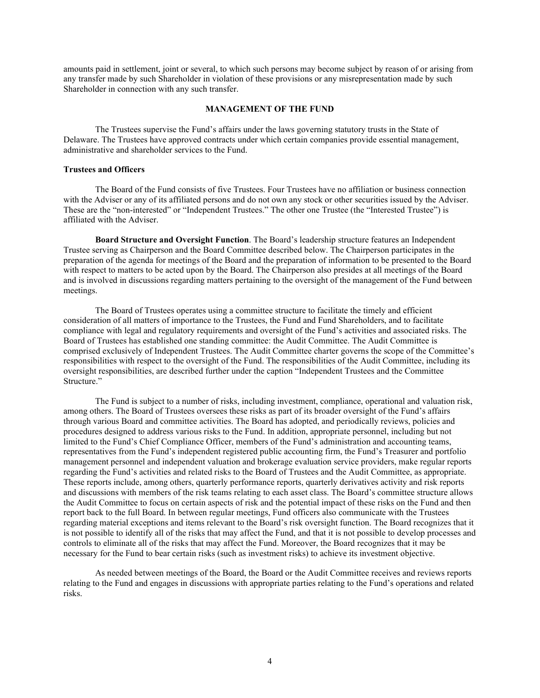amounts paid in settlement, joint or several, to which such persons may become subject by reason of or arising from any transfer made by such Shareholder in violation of these provisions or any misrepresentation made by such Shareholder in connection with any such transfer.

## **MANAGEMENT OF THE FUND**

<span id="page-4-0"></span>The Trustees supervise the Fund's affairs under the laws governing statutory trusts in the State of Delaware. The Trustees have approved contracts under which certain companies provide essential management, administrative and shareholder services to the Fund.

### **Trustees and Officers**

The Board of the Fund consists of five Trustees. Four Trustees have no affiliation or business connection with the Adviser or any of its affiliated persons and do not own any stock or other securities issued by the Adviser. These are the "non-interested" or "Independent Trustees." The other one Trustee (the "Interested Trustee") is affiliated with the Adviser.

**Board Structure and Oversight Function**. The Board's leadership structure features an Independent Trustee serving as Chairperson and the Board Committee described below. The Chairperson participates in the preparation of the agenda for meetings of the Board and the preparation of information to be presented to the Board with respect to matters to be acted upon by the Board. The Chairperson also presides at all meetings of the Board and is involved in discussions regarding matters pertaining to the oversight of the management of the Fund between meetings.

The Board of Trustees operates using a committee structure to facilitate the timely and efficient consideration of all matters of importance to the Trustees, the Fund and Fund Shareholders, and to facilitate compliance with legal and regulatory requirements and oversight of the Fund's activities and associated risks. The Board of Trustees has established one standing committee: the Audit Committee. The Audit Committee is comprised exclusively of Independent Trustees. The Audit Committee charter governs the scope of the Committee's responsibilities with respect to the oversight of the Fund. The responsibilities of the Audit Committee, including its oversight responsibilities, are described further under the caption "Independent Trustees and the Committee Structure."

The Fund is subject to a number of risks, including investment, compliance, operational and valuation risk, among others. The Board of Trustees oversees these risks as part of its broader oversight of the Fund's affairs through various Board and committee activities. The Board has adopted, and periodically reviews, policies and procedures designed to address various risks to the Fund. In addition, appropriate personnel, including but not limited to the Fund's Chief Compliance Officer, members of the Fund's administration and accounting teams, representatives from the Fund's independent registered public accounting firm, the Fund's Treasurer and portfolio management personnel and independent valuation and brokerage evaluation service providers, make regular reports regarding the Fund's activities and related risks to the Board of Trustees and the Audit Committee, as appropriate. These reports include, among others, quarterly performance reports, quarterly derivatives activity and risk reports and discussions with members of the risk teams relating to each asset class. The Board's committee structure allows the Audit Committee to focus on certain aspects of risk and the potential impact of these risks on the Fund and then report back to the full Board. In between regular meetings, Fund officers also communicate with the Trustees regarding material exceptions and items relevant to the Board's risk oversight function. The Board recognizes that it is not possible to identify all of the risks that may affect the Fund, and that it is not possible to develop processes and controls to eliminate all of the risks that may affect the Fund. Moreover, the Board recognizes that it may be necessary for the Fund to bear certain risks (such as investment risks) to achieve its investment objective.

As needed between meetings of the Board, the Board or the Audit Committee receives and reviews reports relating to the Fund and engages in discussions with appropriate parties relating to the Fund's operations and related risks.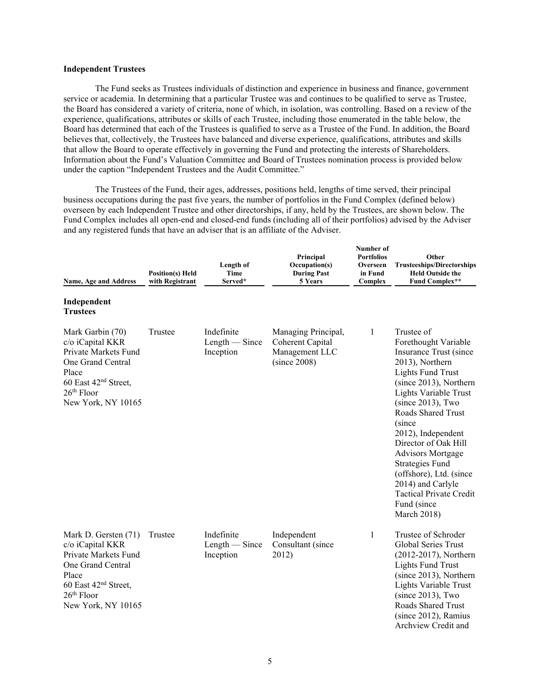## **Independent Trustees**

The Fund seeks as Trustees individuals of distinction and experience in business and finance, government service or academia. In determining that a particular Trustee was and continues to be qualified to serve as Trustee, the Board has considered a variety of criteria, none of which, in isolation, was controlling. Based on a review of the experience, qualifications, attributes or skills of each Trustee, including those enumerated in the table below, the Board has determined that each of the Trustees is qualified to serve as a Trustee of the Fund. In addition, the Board believes that, collectively, the Trustees have balanced and diverse experience, qualifications, attributes and skills that allow the Board to operate effectively in governing the Fund and protecting the interests of Shareholders. Information about the Fund's Valuation Committee and Board of Trustees nomination process is provided below under the caption "Independent Trustees and the Audit Committee."

The Trustees of the Fund, their ages, addresses, positions held, lengths of time served, their principal business occupations during the past five years, the number of portfolios in the Fund Complex (defined below) overseen by each Independent Trustee and other directorships, if any, held by the Trustees, are shown below. The Fund Complex includes all open-end and closed-end funds (including all of their portfolios) advised by the Adviser and any registered funds that have an adviser that is an affiliate of the Adviser.

| <b>Name, Age and Address</b><br>Independent                                                                                                                          | <b>Position(s)</b> Held<br>with Registrant | Length of<br><b>Time</b><br>Served*         | Principal<br>Occupation(s)<br><b>During Past</b><br>5 Years               | Number of<br><b>Portfolios</b><br>Overseen<br>in Fund<br>Complex | Other<br><b>Trusteeships/Directorships</b><br><b>Held Outside the</b><br><b>Fund Complex**</b>                                                                                                                                                                                                                                                                                                                                                    |
|----------------------------------------------------------------------------------------------------------------------------------------------------------------------|--------------------------------------------|---------------------------------------------|---------------------------------------------------------------------------|------------------------------------------------------------------|---------------------------------------------------------------------------------------------------------------------------------------------------------------------------------------------------------------------------------------------------------------------------------------------------------------------------------------------------------------------------------------------------------------------------------------------------|
| <b>Trustees</b>                                                                                                                                                      |                                            |                                             |                                                                           |                                                                  |                                                                                                                                                                                                                                                                                                                                                                                                                                                   |
| Mark Garbin (70)<br>c/o iCapital KKR<br>Private Markets Fund<br>One Grand Central<br>Place<br>60 East 42 <sup>nd</sup> Street,<br>$26th$ Floor<br>New York, NY 10165 | Trustee                                    | Indefinite<br>$Length - Since$<br>Inception | Managing Principal,<br>Coherent Capital<br>Management LLC<br>(since 2008) | 1                                                                | Trustee of<br>Forethought Variable<br>Insurance Trust (since<br>2013), Northern<br><b>Lights Fund Trust</b><br>(since 2013), Northern<br>Lights Variable Trust<br>$(since 2013)$ , Two<br>Roads Shared Trust<br>(since<br>2012), Independent<br>Director of Oak Hill<br><b>Advisors Mortgage</b><br><b>Strategies Fund</b><br>(offshore), Ltd. (since<br>2014) and Carlyle<br><b>Tactical Private Credit</b><br>Fund (since<br><b>March 2018)</b> |
| Mark D. Gersten (71)<br>c/o iCapital KKR<br>Private Markets Fund<br>One Grand Central<br>Place<br>60 East $42nd$ Street,<br>$26th$ Floor<br>New York, NY 10165       | Trustee                                    | Indefinite<br>$Length - Since$<br>Inception | Independent<br>Consultant (since<br>2012)                                 | 1                                                                | Trustee of Schroder<br><b>Global Series Trust</b><br>(2012-2017), Northern<br><b>Lights Fund Trust</b><br>(since 2013), Northern<br>Lights Variable Trust<br>$(since 2013)$ , Two<br>Roads Shared Trust<br>(since 2012), Ramius<br>Archview Credit and                                                                                                                                                                                            |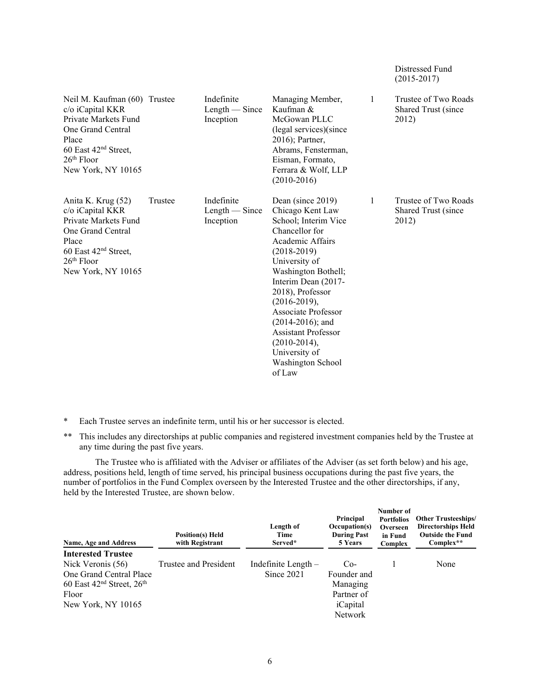|                                                                                                                                                                                  |         |                                             |                                                                                                                                                                                                                                                                                                                                                                           |   | $(2015 - 2017)$                                      |
|----------------------------------------------------------------------------------------------------------------------------------------------------------------------------------|---------|---------------------------------------------|---------------------------------------------------------------------------------------------------------------------------------------------------------------------------------------------------------------------------------------------------------------------------------------------------------------------------------------------------------------------------|---|------------------------------------------------------|
| Neil M. Kaufman (60) Trustee<br>c/o iCapital KKR<br>Private Markets Fund<br>One Grand Central<br>Place<br>60 East 42 <sup>nd</sup> Street,<br>$26th$ Floor<br>New York, NY 10165 |         | Indefinite<br>$Length - Since$<br>Inception | Managing Member,<br>Kaufman &<br>McGowan PLLC<br>(legal services)(since<br>2016); Partner,<br>Abrams, Fensterman,<br>Eisman, Formato,<br>Ferrara & Wolf, LLP<br>$(2010-2016)$                                                                                                                                                                                             | 1 | Trustee of Two Roads<br>Shared Trust (since<br>2012) |
| Anita K. Krug (52)<br>c/o iCapital KKR<br>Private Markets Fund<br>One Grand Central<br>Place<br>60 East 42 <sup>nd</sup> Street,<br>$26th$ Floor<br>New York, NY 10165           | Trustee | Indefinite<br>$Length - Since$<br>Inception | Dean (since 2019)<br>Chicago Kent Law<br>School; Interim Vice<br>Chancellor for<br>Academic Affairs<br>$(2018-2019)$<br>University of<br>Washington Bothell;<br>Interim Dean (2017-<br>2018), Professor<br>$(2016 - 2019),$<br>Associate Professor<br>$(2014-2016)$ ; and<br><b>Assistant Professor</b><br>$(2010-2014),$<br>University of<br>Washington School<br>of Law | 1 | Trustee of Two Roads<br>Shared Trust (since<br>2012) |

Distressed Fund

- \* Each Trustee serves an indefinite term, until his or her successor is elected.
- \*\* This includes any directorships at public companies and registered investment companies held by the Trustee at any time during the past five years.

The Trustee who is affiliated with the Adviser or affiliates of the Adviser (as set forth below) and his age, address, positions held, length of time served, his principal business occupations during the past five years, the number of portfolios in the Fund Complex overseen by the Interested Trustee and the other directorships, if any, held by the Interested Trustee, are shown below.

| Name, Age and Address         | <b>Position(s)</b> Held<br>with Registrant | Length of<br>Time<br>Served* | Principal<br>Occupation(s)<br><b>During Past</b><br>5 Years | Number of<br><b>Portfolios</b><br>Overseen<br>in Fund<br>Complex | <b>Other Trusteeships/</b><br><b>Directorships Held</b><br><b>Outside the Fund</b><br>$Complex**$ |
|-------------------------------|--------------------------------------------|------------------------------|-------------------------------------------------------------|------------------------------------------------------------------|---------------------------------------------------------------------------------------------------|
| <b>Interested Trustee</b>     |                                            |                              |                                                             |                                                                  |                                                                                                   |
| Nick Veronis (56)             | Trustee and President                      | Indefinite Length -          | $Co-$                                                       |                                                                  | None                                                                                              |
| One Grand Central Place       |                                            | Since 2021                   | Founder and                                                 |                                                                  |                                                                                                   |
| 60 East $42nd$ Street, $26th$ |                                            |                              | Managing                                                    |                                                                  |                                                                                                   |
| Floor                         |                                            |                              | Partner of                                                  |                                                                  |                                                                                                   |
| New York, NY 10165            |                                            |                              | iCapital                                                    |                                                                  |                                                                                                   |
|                               |                                            |                              | <b>Network</b>                                              |                                                                  |                                                                                                   |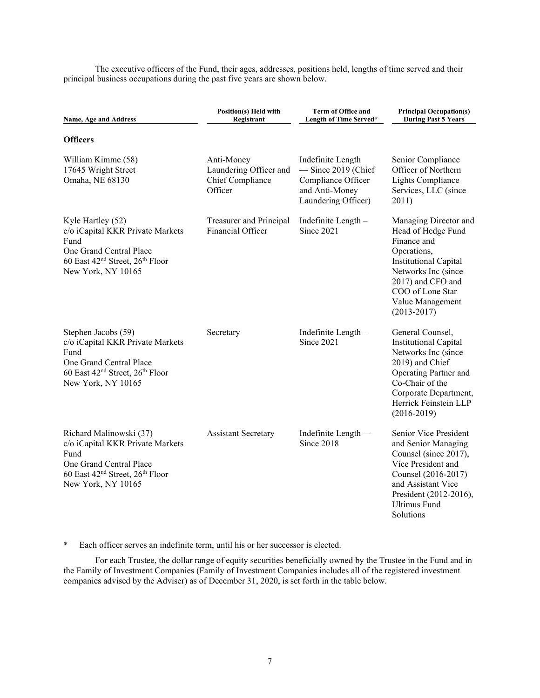The executive officers of the Fund, their ages, addresses, positions held, lengths of time served and their principal business occupations during the past five years are shown below.

| <b>Name, Age and Address</b>                                                                                                                                                    | Position(s) Held with<br>Registrant                                 | <b>Term of Office and</b><br>Length of Time Served*                                                       | <b>Principal Occupation(s)</b><br><b>During Past 5 Years</b>                                                                                                                                                     |
|---------------------------------------------------------------------------------------------------------------------------------------------------------------------------------|---------------------------------------------------------------------|-----------------------------------------------------------------------------------------------------------|------------------------------------------------------------------------------------------------------------------------------------------------------------------------------------------------------------------|
| <b>Officers</b>                                                                                                                                                                 |                                                                     |                                                                                                           |                                                                                                                                                                                                                  |
| William Kimme (58)<br>17645 Wright Street<br>Omaha, NE 68130                                                                                                                    | Anti-Money<br>Laundering Officer and<br>Chief Compliance<br>Officer | Indefinite Length<br>$-$ Since 2019 (Chief<br>Compliance Officer<br>and Anti-Money<br>Laundering Officer) | Senior Compliance<br>Officer of Northern<br>Lights Compliance<br>Services, LLC (since<br>2011)                                                                                                                   |
| Kyle Hartley (52)<br>c/o iCapital KKR Private Markets<br>Fund<br>One Grand Central Place<br>60 East 42 <sup>nd</sup> Street, 26 <sup>th</sup> Floor<br>New York, NY 10165       | Treasurer and Principal<br><b>Financial Officer</b>                 | Indefinite Length-<br>Since 2021                                                                          | Managing Director and<br>Head of Hedge Fund<br>Finance and<br>Operations,<br><b>Institutional Capital</b><br>Networks Inc (since<br>2017) and CFO and<br>COO of Lone Star<br>Value Management<br>$(2013 - 2017)$ |
| Stephen Jacobs (59)<br>c/o iCapital KKR Private Markets<br>Fund<br>One Grand Central Place<br>60 East 42 <sup>nd</sup> Street, 26 <sup>th</sup> Floor<br>New York, NY 10165     | Secretary                                                           | Indefinite Length -<br>Since 2021                                                                         | General Counsel,<br><b>Institutional Capital</b><br>Networks Inc (since<br>2019) and Chief<br>Operating Partner and<br>Co-Chair of the<br>Corporate Department,<br>Herrick Feinstein LLP<br>$(2016 - 2019)$      |
| Richard Malinowski (37)<br>c/o iCapital KKR Private Markets<br>Fund<br>One Grand Central Place<br>60 East 42 <sup>nd</sup> Street, 26 <sup>th</sup> Floor<br>New York, NY 10165 | <b>Assistant Secretary</b>                                          | Indefinite Length —<br>Since 2018                                                                         | Senior Vice President<br>and Senior Managing<br>Counsel (since 2017),<br>Vice President and<br>Counsel (2016-2017)<br>and Assistant Vice<br>President (2012-2016),<br><b>Ultimus Fund</b><br>Solutions           |

\* Each officer serves an indefinite term, until his or her successor is elected.

For each Trustee, the dollar range of equity securities beneficially owned by the Trustee in the Fund and in the Family of Investment Companies (Family of Investment Companies includes all of the registered investment companies advised by the Adviser) as of December 31, 2020, is set forth in the table below.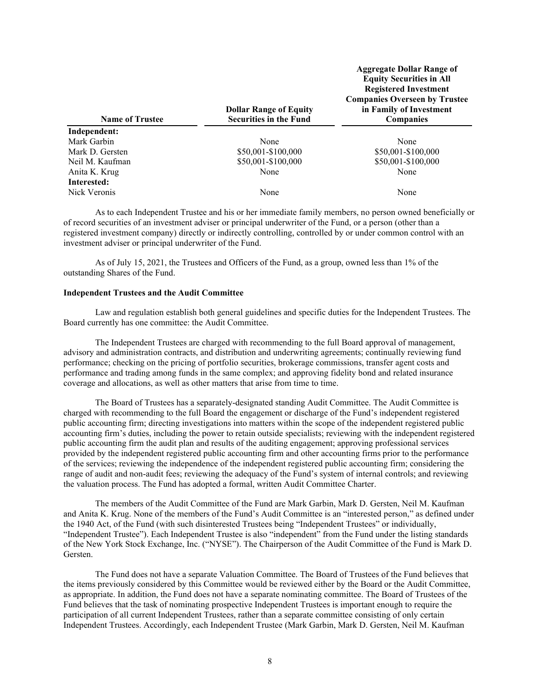| <b>Name of Trustee</b> | <b>Dollar Range of Equity</b><br><b>Securities in the Fund</b> | <b>Aggregate Dollar Range of</b><br><b>Equity Securities in All</b><br><b>Registered Investment</b><br><b>Companies Overseen by Trustee</b><br>in Family of Investment<br><b>Companies</b> |
|------------------------|----------------------------------------------------------------|--------------------------------------------------------------------------------------------------------------------------------------------------------------------------------------------|
| Independent:           |                                                                |                                                                                                                                                                                            |
| Mark Garbin            | None                                                           | None                                                                                                                                                                                       |
| Mark D. Gersten        | \$50,001-\$100,000                                             | \$50,001-\$100,000                                                                                                                                                                         |
| Neil M. Kaufman        | \$50,001-\$100,000                                             | \$50,001-\$100,000                                                                                                                                                                         |
| Anita K. Krug          | None                                                           | None                                                                                                                                                                                       |
| Interested:            |                                                                |                                                                                                                                                                                            |
| Nick Veronis           | None                                                           | None                                                                                                                                                                                       |

As to each Independent Trustee and his or her immediate family members, no person owned beneficially or of record securities of an investment adviser or principal underwriter of the Fund, or a person (other than a registered investment company) directly or indirectly controlling, controlled by or under common control with an investment adviser or principal underwriter of the Fund.

As of July 15, 2021, the Trustees and Officers of the Fund, as a group, owned less than 1% of the outstanding Shares of the Fund.

#### **Independent Trustees and the Audit Committee**

Law and regulation establish both general guidelines and specific duties for the Independent Trustees. The Board currently has one committee: the Audit Committee.

The Independent Trustees are charged with recommending to the full Board approval of management, advisory and administration contracts, and distribution and underwriting agreements; continually reviewing fund performance; checking on the pricing of portfolio securities, brokerage commissions, transfer agent costs and performance and trading among funds in the same complex; and approving fidelity bond and related insurance coverage and allocations, as well as other matters that arise from time to time.

The Board of Trustees has a separately-designated standing Audit Committee. The Audit Committee is charged with recommending to the full Board the engagement or discharge of the Fund's independent registered public accounting firm; directing investigations into matters within the scope of the independent registered public accounting firm's duties, including the power to retain outside specialists; reviewing with the independent registered public accounting firm the audit plan and results of the auditing engagement; approving professional services provided by the independent registered public accounting firm and other accounting firms prior to the performance of the services; reviewing the independence of the independent registered public accounting firm; considering the range of audit and non-audit fees; reviewing the adequacy of the Fund's system of internal controls; and reviewing the valuation process. The Fund has adopted a formal, written Audit Committee Charter.

The members of the Audit Committee of the Fund are Mark Garbin, Mark D. Gersten, Neil M. Kaufman and Anita K. Krug. None of the members of the Fund's Audit Committee is an "interested person," as defined under the 1940 Act, of the Fund (with such disinterested Trustees being "Independent Trustees" or individually, "Independent Trustee"). Each Independent Trustee is also "independent" from the Fund under the listing standards of the New York Stock Exchange, Inc. ("NYSE"). The Chairperson of the Audit Committee of the Fund is Mark D. Gersten.

The Fund does not have a separate Valuation Committee. The Board of Trustees of the Fund believes that the items previously considered by this Committee would be reviewed either by the Board or the Audit Committee, as appropriate. In addition, the Fund does not have a separate nominating committee. The Board of Trustees of the Fund believes that the task of nominating prospective Independent Trustees is important enough to require the participation of all current Independent Trustees, rather than a separate committee consisting of only certain Independent Trustees. Accordingly, each Independent Trustee (Mark Garbin, Mark D. Gersten, Neil M. Kaufman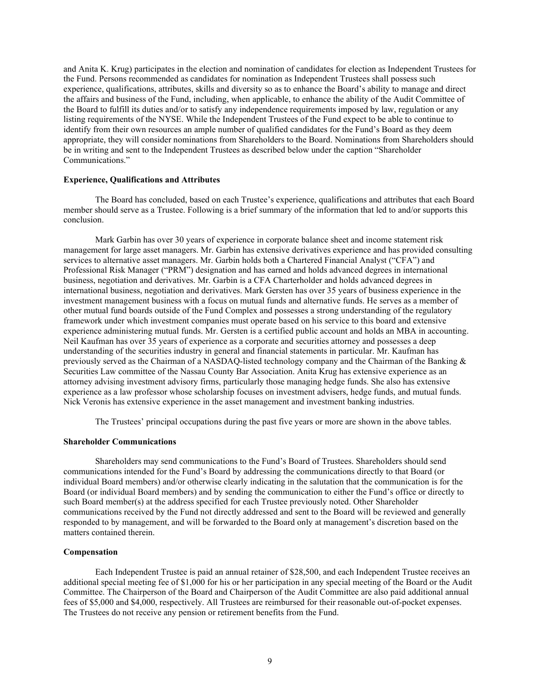and Anita K. Krug) participates in the election and nomination of candidates for election as Independent Trustees for the Fund. Persons recommended as candidates for nomination as Independent Trustees shall possess such experience, qualifications, attributes, skills and diversity so as to enhance the Board's ability to manage and direct the affairs and business of the Fund, including, when applicable, to enhance the ability of the Audit Committee of the Board to fulfill its duties and/or to satisfy any independence requirements imposed by law, regulation or any listing requirements of the NYSE. While the Independent Trustees of the Fund expect to be able to continue to identify from their own resources an ample number of qualified candidates for the Fund's Board as they deem appropriate, they will consider nominations from Shareholders to the Board. Nominations from Shareholders should be in writing and sent to the Independent Trustees as described below under the caption "Shareholder Communications."

## **Experience, Qualifications and Attributes**

The Board has concluded, based on each Trustee's experience, qualifications and attributes that each Board member should serve as a Trustee. Following is a brief summary of the information that led to and/or supports this conclusion.

Mark Garbin has over 30 years of experience in corporate balance sheet and income statement risk management for large asset managers. Mr. Garbin has extensive derivatives experience and has provided consulting services to alternative asset managers. Mr. Garbin holds both a Chartered Financial Analyst ("CFA") and Professional Risk Manager ("PRM") designation and has earned and holds advanced degrees in international business, negotiation and derivatives. Mr. Garbin is a CFA Charterholder and holds advanced degrees in international business, negotiation and derivatives. Mark Gersten has over 35 years of business experience in the investment management business with a focus on mutual funds and alternative funds. He serves as a member of other mutual fund boards outside of the Fund Complex and possesses a strong understanding of the regulatory framework under which investment companies must operate based on his service to this board and extensive experience administering mutual funds. Mr. Gersten is a certified public account and holds an MBA in accounting. Neil Kaufman has over 35 years of experience as a corporate and securities attorney and possesses a deep understanding of the securities industry in general and financial statements in particular. Mr. Kaufman has previously served as the Chairman of a NASDAQ-listed technology company and the Chairman of the Banking & Securities Law committee of the Nassau County Bar Association. Anita Krug has extensive experience as an attorney advising investment advisory firms, particularly those managing hedge funds. She also has extensive experience as a law professor whose scholarship focuses on investment advisers, hedge funds, and mutual funds. Nick Veronis has extensive experience in the asset management and investment banking industries.

The Trustees' principal occupations during the past five years or more are shown in the above tables.

#### **Shareholder Communications**

Shareholders may send communications to the Fund's Board of Trustees. Shareholders should send communications intended for the Fund's Board by addressing the communications directly to that Board (or individual Board members) and/or otherwise clearly indicating in the salutation that the communication is for the Board (or individual Board members) and by sending the communication to either the Fund's office or directly to such Board member(s) at the address specified for each Trustee previously noted. Other Shareholder communications received by the Fund not directly addressed and sent to the Board will be reviewed and generally responded to by management, and will be forwarded to the Board only at management's discretion based on the matters contained therein.

## **Compensation**

Each Independent Trustee is paid an annual retainer of \$28,500, and each Independent Trustee receives an additional special meeting fee of \$1,000 for his or her participation in any special meeting of the Board or the Audit Committee. The Chairperson of the Board and Chairperson of the Audit Committee are also paid additional annual fees of \$5,000 and \$4,000, respectively. All Trustees are reimbursed for their reasonable out-of-pocket expenses. The Trustees do not receive any pension or retirement benefits from the Fund.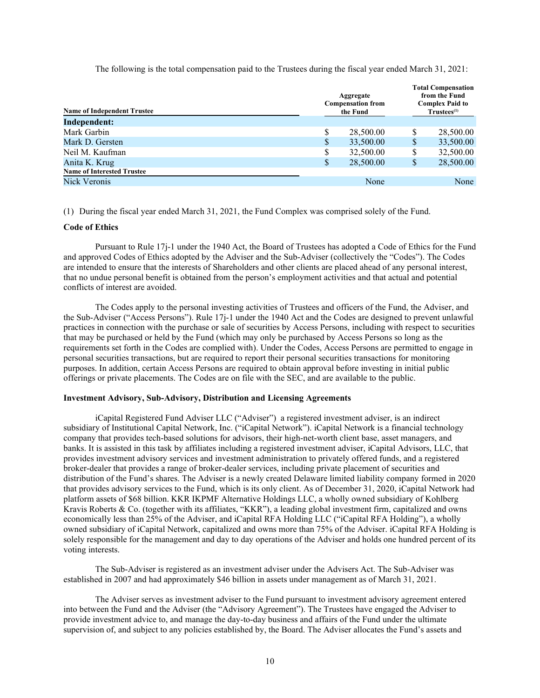The following is the total compensation paid to the Trustees during the fiscal year ended March 31, 2021:

| <b>Name of Independent Trustee</b> | Aggregate<br><b>Compensation from</b><br>the Fund |    | <b>Total Compensation</b><br>from the Fund<br><b>Complex Paid to</b><br>$Trustees^{(1)}$ |
|------------------------------------|---------------------------------------------------|----|------------------------------------------------------------------------------------------|
| <b>Independent:</b>                |                                                   |    |                                                                                          |
| Mark Garbin                        | 28,500.00                                         | \$ | 28,500.00                                                                                |
| Mark D. Gersten                    | \$<br>33,500.00                                   | S  | 33,500.00                                                                                |
| Neil M. Kaufman                    | \$<br>32,500.00                                   | \$ | 32,500.00                                                                                |
| Anita K. Krug                      | \$<br>28,500.00                                   | S  | 28,500.00                                                                                |
| <b>Name of Interested Trustee</b>  |                                                   |    |                                                                                          |
| Nick Veronis                       | None                                              |    | None                                                                                     |

(1) During the fiscal year ended March 31, 2021, the Fund Complex was comprised solely of the Fund.

### **Code of Ethics**

Pursuant to Rule 17j-1 under the 1940 Act, the Board of Trustees has adopted a Code of Ethics for the Fund and approved Codes of Ethics adopted by the Adviser and the Sub-Adviser (collectively the "Codes"). The Codes are intended to ensure that the interests of Shareholders and other clients are placed ahead of any personal interest, that no undue personal benefit is obtained from the person's employment activities and that actual and potential conflicts of interest are avoided.

The Codes apply to the personal investing activities of Trustees and officers of the Fund, the Adviser, and the Sub-Adviser ("Access Persons"). Rule 17j-1 under the 1940 Act and the Codes are designed to prevent unlawful practices in connection with the purchase or sale of securities by Access Persons, including with respect to securities that may be purchased or held by the Fund (which may only be purchased by Access Persons so long as the requirements set forth in the Codes are complied with). Under the Codes, Access Persons are permitted to engage in personal securities transactions, but are required to report their personal securities transactions for monitoring purposes. In addition, certain Access Persons are required to obtain approval before investing in initial public offerings or private placements. The Codes are on file with the SEC, and are available to the public.

#### **Investment Advisory, Sub-Advisory, Distribution and Licensing Agreements**

iCapital Registered Fund Adviser LLC ("Adviser") a registered investment adviser, is an indirect subsidiary of Institutional Capital Network, Inc. ("iCapital Network"). iCapital Network is a financial technology company that provides tech-based solutions for advisors, their high-net-worth client base, asset managers, and banks. It is assisted in this task by affiliates including a registered investment adviser, iCapital Advisors, LLC, that provides investment advisory services and investment administration to privately offered funds, and a registered broker-dealer that provides a range of broker-dealer services, including private placement of securities and distribution of the Fund's shares. The Adviser is a newly created Delaware limited liability company formed in 2020 that provides advisory services to the Fund, which is its only client. As of December 31, 2020, iCapital Network had platform assets of \$68 billion. KKR IKPMF Alternative Holdings LLC, a wholly owned subsidiary of Kohlberg Kravis Roberts & Co. (together with its affiliates, "KKR"), a leading global investment firm, capitalized and owns economically less than 25% of the Adviser, and iCapital RFA Holding LLC ("iCapital RFA Holding"), a wholly owned subsidiary of iCapital Network, capitalized and owns more than 75% of the Adviser. iCapital RFA Holding is solely responsible for the management and day to day operations of the Adviser and holds one hundred percent of its voting interests.

The Sub-Adviser is registered as an investment adviser under the Advisers Act. The Sub-Adviser was established in 2007 and had approximately \$46 billion in assets under management as of March 31, 2021.

The Adviser serves as investment adviser to the Fund pursuant to investment advisory agreement entered into between the Fund and the Adviser (the "Advisory Agreement"). The Trustees have engaged the Adviser to provide investment advice to, and manage the day-to-day business and affairs of the Fund under the ultimate supervision of, and subject to any policies established by, the Board. The Adviser allocates the Fund's assets and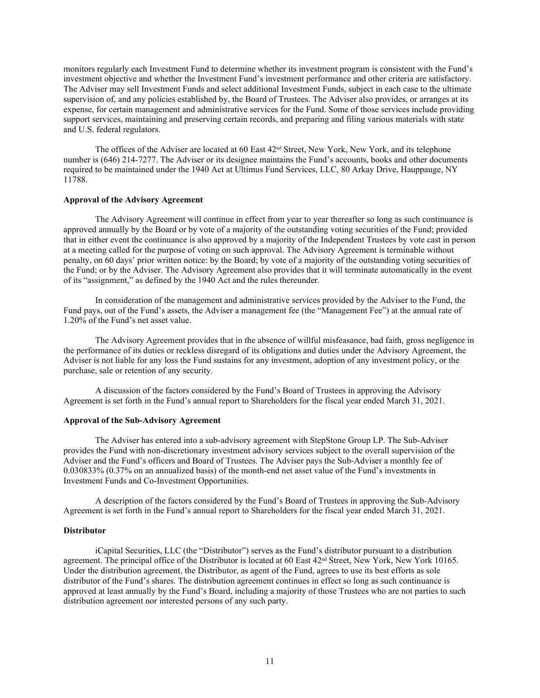monitors regularly each Investment Fund to determine whether its investment program is consistent with the Fund's investment objective and whether the Investment Fund's investment performance and other criteria are satisfactory. The Adviser may sell Investment Funds and select additional Investment Funds, subject in each case to the ultimate supervision of, and any policies established by, the Board of Trustees. The Adviser also provides, or arranges at its expense, for certain management and administrative services for the Fund. Some of those services include providing support services, maintaining and preserving certain records, and preparing and filing various materials with state and U.S. federal regulators.

The offices of the Adviser are located at 60 East  $42<sup>nd</sup>$  Street, New York, New York, and its telephone number is (646) 214-7277. The Adviser or its designee maintains the Fund's accounts, books and other documents required to be maintained under the 1940 Act at Ultimus Fund Services, LLC, 80 Arkay Drive, Hauppauge, NY 11788.

#### **Approval of the Advisory Agreement**

The Advisory Agreement will continue in effect from year to year thereafter so long as such continuance is approved annually by the Board or by vote of a majority of the outstanding voting securities of the Fund; provided that in either event the continuance is also approved by a majority of the Independent Trustees by vote cast in person at a meeting called for the purpose of voting on such approval. The Advisory Agreement is terminable without penalty, on 60 days' prior written notice: by the Board; by vote of a majority of the outstanding voting securities of the Fund; or by the Adviser. The Advisory Agreement also provides that it will terminate automatically in the event of its "assignment," as defined by the 1940 Act and the rules thereunder.

In consideration of the management and administrative services provided by the Adviser to the Fund, the Fund pays, out of the Fund's assets, the Adviser a management fee (the "Management Fee") at the annual rate of 1.20% of the Fund's net asset value.

The Advisory Agreement provides that in the absence of willful misfeasance, bad faith, gross negligence in the performance of its duties or reckless disregard of its obligations and duties under the Advisory Agreement, the Adviser is not liable for any loss the Fund sustains for any investment, adoption of any investment policy, or the purchase, sale or retention of any security.

A discussion of the factors considered by the Fund's Board of Trustees in approving the Advisory Agreement is set forth in the Fund's annual report to Shareholders for the fiscal year ended March 31, 2021.

#### **Approval of the Sub-Advisory Agreement**

The Adviser has entered into a sub-advisory agreement with StepStone Group LP. The Sub-Adviser provides the Fund with non-discretionary investment advisory services subject to the overall supervision of the Adviser and the Fund's officers and Board of Trustees. The Adviser pays the Sub-Adviser a monthly fee of 0.030833% (0.37% on an annualized basis) of the month-end net asset value of the Fund's investments in Investment Funds and Co-Investment Opportunities.

A description of the factors considered by the Fund's Board of Trustees in approving the Sub-Advisory Agreement is set forth in the Fund's annual report to Shareholders for the fiscal year ended March 31, 2021.

#### **Distributor**

iCapital Securities, LLC (the "Distributor") serves as the Fund's distributor pursuant to a distribution agreement. The principal office of the Distributor is located at 60 East  $42<sup>nd</sup>$  Street, New York, New York 10165. Under the distribution agreement, the Distributor, as agent of the Fund, agrees to use its best efforts as sole distributor of the Fund's shares. The distribution agreement continues in effect so long as such continuance is approved at least annually by the Fund's Board, including a majority of those Trustees who are not parties to such distribution agreement nor interested persons of any such party.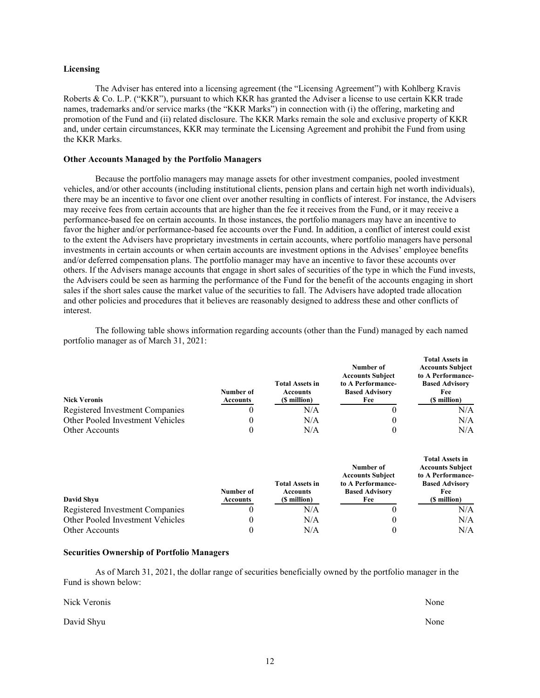#### **Licensing**

The Adviser has entered into a licensing agreement (the "Licensing Agreement") with Kohlberg Kravis Roberts & Co. L.P. ("KKR"), pursuant to which KKR has granted the Adviser a license to use certain KKR trade names, trademarks and/or service marks (the "KKR Marks") in connection with (i) the offering, marketing and promotion of the Fund and (ii) related disclosure. The KKR Marks remain the sole and exclusive property of KKR and, under certain circumstances, KKR may terminate the Licensing Agreement and prohibit the Fund from using the KKR Marks.

## **Other Accounts Managed by the Portfolio Managers**

Because the portfolio managers may manage assets for other investment companies, pooled investment vehicles, and/or other accounts (including institutional clients, pension plans and certain high net worth individuals), there may be an incentive to favor one client over another resulting in conflicts of interest. For instance, the Advisers may receive fees from certain accounts that are higher than the fee it receives from the Fund, or it may receive a performance-based fee on certain accounts. In those instances, the portfolio managers may have an incentive to favor the higher and/or performance-based fee accounts over the Fund. In addition, a conflict of interest could exist to the extent the Advisers have proprietary investments in certain accounts, where portfolio managers have personal investments in certain accounts or when certain accounts are investment options in the Advises' employee benefits and/or deferred compensation plans. The portfolio manager may have an incentive to favor these accounts over others. If the Advisers manage accounts that engage in short sales of securities of the type in which the Fund invests, the Advisers could be seen as harming the performance of the Fund for the benefit of the accounts engaging in short sales if the short sales cause the market value of the securities to fall. The Advisers have adopted trade allocation and other policies and procedures that it believes are reasonably designed to address these and other conflicts of interest.

The following table shows information regarding accounts (other than the Fund) managed by each named portfolio manager as of March 31, 2021:

| <b>Nick Veronis</b>              | Number of<br>Accounts | <b>Total Assets in</b><br><b>Accounts</b><br>(\$ million) | Number of<br><b>Accounts Subject</b><br>to A Performance-<br><b>Based Advisory</b><br>Fee | <b>Total Assets in</b><br><b>Accounts Subject</b><br>to A Performance-<br><b>Based Advisory</b><br>Fee<br>(\$ million) |
|----------------------------------|-----------------------|-----------------------------------------------------------|-------------------------------------------------------------------------------------------|------------------------------------------------------------------------------------------------------------------------|
| Registered Investment Companies  |                       | N/A                                                       |                                                                                           | N/A                                                                                                                    |
| Other Pooled Investment Vehicles |                       | N/A                                                       |                                                                                           | N/A                                                                                                                    |
| Other Accounts                   |                       | N/A                                                       |                                                                                           | N/A                                                                                                                    |

| David Shyu                       | Number of<br>Accounts | <b>Total Assets in</b><br><b>Accounts</b><br>(\$ million) | Number of<br><b>Accounts Subject</b><br>to A Performance-<br><b>Based Advisory</b><br>Fee | <b>Total Assets in</b><br><b>Accounts Subject</b><br>to A Performance-<br><b>Based Advisory</b><br>Fee<br>(\$ million) |
|----------------------------------|-----------------------|-----------------------------------------------------------|-------------------------------------------------------------------------------------------|------------------------------------------------------------------------------------------------------------------------|
| Registered Investment Companies  | U                     | N/A                                                       |                                                                                           | N/A                                                                                                                    |
| Other Pooled Investment Vehicles | 0                     | N/A                                                       |                                                                                           | N/A                                                                                                                    |
| Other Accounts                   |                       | N/A                                                       |                                                                                           | N/A                                                                                                                    |

## **Securities Ownership of Portfolio Managers**

As of March 31, 2021, the dollar range of securities beneficially owned by the portfolio manager in the Fund is shown below:

| Nick Veronis | None |
|--------------|------|
| David Shyu   | None |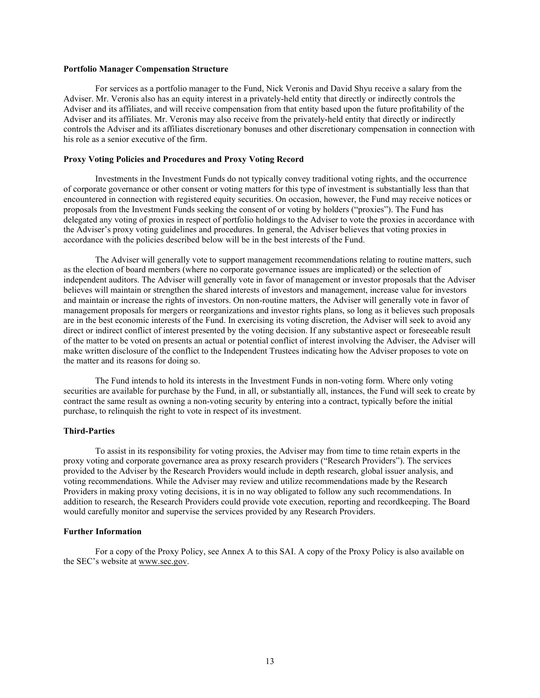## **Portfolio Manager Compensation Structure**

For services as a portfolio manager to the Fund, Nick Veronis and David Shyu receive a salary from the Adviser. Mr. Veronis also has an equity interest in a privately-held entity that directly or indirectly controls the Adviser and its affiliates, and will receive compensation from that entity based upon the future profitability of the Adviser and its affiliates. Mr. Veronis may also receive from the privately-held entity that directly or indirectly controls the Adviser and its affiliates discretionary bonuses and other discretionary compensation in connection with his role as a senior executive of the firm.

## **Proxy Voting Policies and Procedures and Proxy Voting Record**

Investments in the Investment Funds do not typically convey traditional voting rights, and the occurrence of corporate governance or other consent or voting matters for this type of investment is substantially less than that encountered in connection with registered equity securities. On occasion, however, the Fund may receive notices or proposals from the Investment Funds seeking the consent of or voting by holders ("proxies"). The Fund has delegated any voting of proxies in respect of portfolio holdings to the Adviser to vote the proxies in accordance with the Adviser's proxy voting guidelines and procedures. In general, the Adviser believes that voting proxies in accordance with the policies described below will be in the best interests of the Fund.

The Adviser will generally vote to support management recommendations relating to routine matters, such as the election of board members (where no corporate governance issues are implicated) or the selection of independent auditors. The Adviser will generally vote in favor of management or investor proposals that the Adviser believes will maintain or strengthen the shared interests of investors and management, increase value for investors and maintain or increase the rights of investors. On non-routine matters, the Adviser will generally vote in favor of management proposals for mergers or reorganizations and investor rights plans, so long as it believes such proposals are in the best economic interests of the Fund. In exercising its voting discretion, the Adviser will seek to avoid any direct or indirect conflict of interest presented by the voting decision. If any substantive aspect or foreseeable result of the matter to be voted on presents an actual or potential conflict of interest involving the Adviser, the Adviser will make written disclosure of the conflict to the Independent Trustees indicating how the Adviser proposes to vote on the matter and its reasons for doing so.

The Fund intends to hold its interests in the Investment Funds in non-voting form. Where only voting securities are available for purchase by the Fund, in all, or substantially all, instances, the Fund will seek to create by contract the same result as owning a non-voting security by entering into a contract, typically before the initial purchase, to relinquish the right to vote in respect of its investment.

## **Third-Parties**

To assist in its responsibility for voting proxies, the Adviser may from time to time retain experts in the proxy voting and corporate governance area as proxy research providers ("Research Providers"). The services provided to the Adviser by the Research Providers would include in depth research, global issuer analysis, and voting recommendations. While the Adviser may review and utilize recommendations made by the Research Providers in making proxy voting decisions, it is in no way obligated to follow any such recommendations. In addition to research, the Research Providers could provide vote execution, reporting and recordkeeping. The Board would carefully monitor and supervise the services provided by any Research Providers.

#### **Further Information**

For a copy of the Proxy Policy, see Annex A to this SAI. A copy of the Proxy Policy is also available on the SEC's website at [www.sec.gov.](http://www.sec.gov/)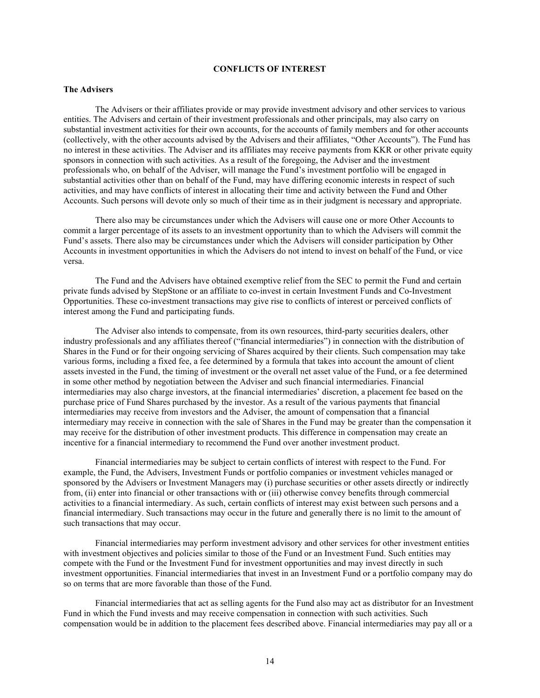# **CONFLICTS OF INTEREST**

## <span id="page-14-0"></span>**The Advisers**

The Advisers or their affiliates provide or may provide investment advisory and other services to various entities. The Advisers and certain of their investment professionals and other principals, may also carry on substantial investment activities for their own accounts, for the accounts of family members and for other accounts (collectively, with the other accounts advised by the Advisers and their affiliates, "Other Accounts"). The Fund has no interest in these activities. The Adviser and its affiliates may receive payments from KKR or other private equity sponsors in connection with such activities. As a result of the foregoing, the Adviser and the investment professionals who, on behalf of the Adviser, will manage the Fund's investment portfolio will be engaged in substantial activities other than on behalf of the Fund, may have differing economic interests in respect of such activities, and may have conflicts of interest in allocating their time and activity between the Fund and Other Accounts. Such persons will devote only so much of their time as in their judgment is necessary and appropriate.

There also may be circumstances under which the Advisers will cause one or more Other Accounts to commit a larger percentage of its assets to an investment opportunity than to which the Advisers will commit the Fund's assets. There also may be circumstances under which the Advisers will consider participation by Other Accounts in investment opportunities in which the Advisers do not intend to invest on behalf of the Fund, or vice versa.

The Fund and the Advisers have obtained exemptive relief from the SEC to permit the Fund and certain private funds advised by StepStone or an affiliate to co-invest in certain Investment Funds and Co-Investment Opportunities. These co-investment transactions may give rise to conflicts of interest or perceived conflicts of interest among the Fund and participating funds.

The Adviser also intends to compensate, from its own resources, third-party securities dealers, other industry professionals and any affiliates thereof ("financial intermediaries") in connection with the distribution of Shares in the Fund or for their ongoing servicing of Shares acquired by their clients. Such compensation may take various forms, including a fixed fee, a fee determined by a formula that takes into account the amount of client assets invested in the Fund, the timing of investment or the overall net asset value of the Fund, or a fee determined in some other method by negotiation between the Adviser and such financial intermediaries. Financial intermediaries may also charge investors, at the financial intermediaries' discretion, a placement fee based on the purchase price of Fund Shares purchased by the investor. As a result of the various payments that financial intermediaries may receive from investors and the Adviser, the amount of compensation that a financial intermediary may receive in connection with the sale of Shares in the Fund may be greater than the compensation it may receive for the distribution of other investment products. This difference in compensation may create an incentive for a financial intermediary to recommend the Fund over another investment product.

Financial intermediaries may be subject to certain conflicts of interest with respect to the Fund. For example, the Fund, the Advisers, Investment Funds or portfolio companies or investment vehicles managed or sponsored by the Advisers or Investment Managers may (i) purchase securities or other assets directly or indirectly from, (ii) enter into financial or other transactions with or (iii) otherwise convey benefits through commercial activities to a financial intermediary. As such, certain conflicts of interest may exist between such persons and a financial intermediary. Such transactions may occur in the future and generally there is no limit to the amount of such transactions that may occur.

Financial intermediaries may perform investment advisory and other services for other investment entities with investment objectives and policies similar to those of the Fund or an Investment Fund. Such entities may compete with the Fund or the Investment Fund for investment opportunities and may invest directly in such investment opportunities. Financial intermediaries that invest in an Investment Fund or a portfolio company may do so on terms that are more favorable than those of the Fund.

Financial intermediaries that act as selling agents for the Fund also may act as distributor for an Investment Fund in which the Fund invests and may receive compensation in connection with such activities. Such compensation would be in addition to the placement fees described above. Financial intermediaries may pay all or a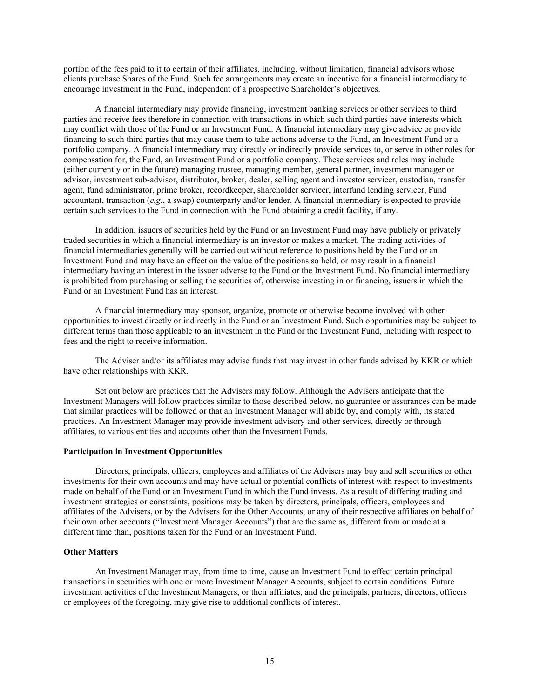portion of the fees paid to it to certain of their affiliates, including, without limitation, financial advisors whose clients purchase Shares of the Fund. Such fee arrangements may create an incentive for a financial intermediary to encourage investment in the Fund, independent of a prospective Shareholder's objectives.

A financial intermediary may provide financing, investment banking services or other services to third parties and receive fees therefore in connection with transactions in which such third parties have interests which may conflict with those of the Fund or an Investment Fund. A financial intermediary may give advice or provide financing to such third parties that may cause them to take actions adverse to the Fund, an Investment Fund or a portfolio company. A financial intermediary may directly or indirectly provide services to, or serve in other roles for compensation for, the Fund, an Investment Fund or a portfolio company. These services and roles may include (either currently or in the future) managing trustee, managing member, general partner, investment manager or advisor, investment sub-advisor, distributor, broker, dealer, selling agent and investor servicer, custodian, transfer agent, fund administrator, prime broker, recordkeeper, shareholder servicer, interfund lending servicer, Fund accountant, transaction (*e.g.*, a swap) counterparty and/or lender. A financial intermediary is expected to provide certain such services to the Fund in connection with the Fund obtaining a credit facility, if any.

In addition, issuers of securities held by the Fund or an Investment Fund may have publicly or privately traded securities in which a financial intermediary is an investor or makes a market. The trading activities of financial intermediaries generally will be carried out without reference to positions held by the Fund or an Investment Fund and may have an effect on the value of the positions so held, or may result in a financial intermediary having an interest in the issuer adverse to the Fund or the Investment Fund. No financial intermediary is prohibited from purchasing or selling the securities of, otherwise investing in or financing, issuers in which the Fund or an Investment Fund has an interest.

A financial intermediary may sponsor, organize, promote or otherwise become involved with other opportunities to invest directly or indirectly in the Fund or an Investment Fund. Such opportunities may be subject to different terms than those applicable to an investment in the Fund or the Investment Fund, including with respect to fees and the right to receive information.

The Adviser and/or its affiliates may advise funds that may invest in other funds advised by KKR or which have other relationships with KKR.

Set out below are practices that the Advisers may follow. Although the Advisers anticipate that the Investment Managers will follow practices similar to those described below, no guarantee or assurances can be made that similar practices will be followed or that an Investment Manager will abide by, and comply with, its stated practices. An Investment Manager may provide investment advisory and other services, directly or through affiliates, to various entities and accounts other than the Investment Funds.

## **Participation in Investment Opportunities**

Directors, principals, officers, employees and affiliates of the Advisers may buy and sell securities or other investments for their own accounts and may have actual or potential conflicts of interest with respect to investments made on behalf of the Fund or an Investment Fund in which the Fund invests. As a result of differing trading and investment strategies or constraints, positions may be taken by directors, principals, officers, employees and affiliates of the Advisers, or by the Advisers for the Other Accounts, or any of their respective affiliates on behalf of their own other accounts ("Investment Manager Accounts") that are the same as, different from or made at a different time than, positions taken for the Fund or an Investment Fund.

## **Other Matters**

An Investment Manager may, from time to time, cause an Investment Fund to effect certain principal transactions in securities with one or more Investment Manager Accounts, subject to certain conditions. Future investment activities of the Investment Managers, or their affiliates, and the principals, partners, directors, officers or employees of the foregoing, may give rise to additional conflicts of interest.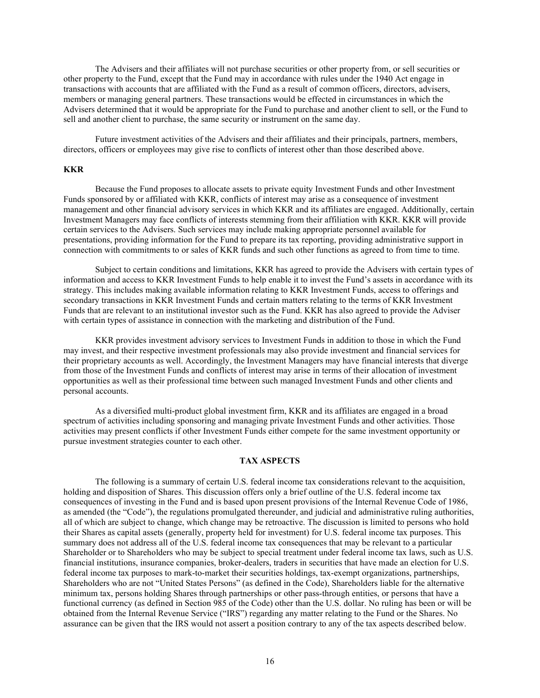The Advisers and their affiliates will not purchase securities or other property from, or sell securities or other property to the Fund, except that the Fund may in accordance with rules under the 1940 Act engage in transactions with accounts that are affiliated with the Fund as a result of common officers, directors, advisers, members or managing general partners. These transactions would be effected in circumstances in which the Advisers determined that it would be appropriate for the Fund to purchase and another client to sell, or the Fund to sell and another client to purchase, the same security or instrument on the same day.

Future investment activities of the Advisers and their affiliates and their principals, partners, members, directors, officers or employees may give rise to conflicts of interest other than those described above.

#### **KKR**

Because the Fund proposes to allocate assets to private equity Investment Funds and other Investment Funds sponsored by or affiliated with KKR, conflicts of interest may arise as a consequence of investment management and other financial advisory services in which KKR and its affiliates are engaged. Additionally, certain Investment Managers may face conflicts of interests stemming from their affiliation with KKR. KKR will provide certain services to the Advisers. Such services may include making appropriate personnel available for presentations, providing information for the Fund to prepare its tax reporting, providing administrative support in connection with commitments to or sales of KKR funds and such other functions as agreed to from time to time.

Subject to certain conditions and limitations, KKR has agreed to provide the Advisers with certain types of information and access to KKR Investment Funds to help enable it to invest the Fund's assets in accordance with its strategy. This includes making available information relating to KKR Investment Funds, access to offerings and secondary transactions in KKR Investment Funds and certain matters relating to the terms of KKR Investment Funds that are relevant to an institutional investor such as the Fund. KKR has also agreed to provide the Adviser with certain types of assistance in connection with the marketing and distribution of the Fund.

KKR provides investment advisory services to Investment Funds in addition to those in which the Fund may invest, and their respective investment professionals may also provide investment and financial services for their proprietary accounts as well. Accordingly, the Investment Managers may have financial interests that diverge from those of the Investment Funds and conflicts of interest may arise in terms of their allocation of investment opportunities as well as their professional time between such managed Investment Funds and other clients and personal accounts.

As a diversified multi-product global investment firm, KKR and its affiliates are engaged in a broad spectrum of activities including sponsoring and managing private Investment Funds and other activities. Those activities may present conflicts if other Investment Funds either compete for the same investment opportunity or pursue investment strategies counter to each other.

### **TAX ASPECTS**

<span id="page-16-0"></span>The following is a summary of certain U.S. federal income tax considerations relevant to the acquisition, holding and disposition of Shares. This discussion offers only a brief outline of the U.S. federal income tax consequences of investing in the Fund and is based upon present provisions of the Internal Revenue Code of 1986, as amended (the "Code"), the regulations promulgated thereunder, and judicial and administrative ruling authorities, all of which are subject to change, which change may be retroactive. The discussion is limited to persons who hold their Shares as capital assets (generally, property held for investment) for U.S. federal income tax purposes. This summary does not address all of the U.S. federal income tax consequences that may be relevant to a particular Shareholder or to Shareholders who may be subject to special treatment under federal income tax laws, such as U.S. financial institutions, insurance companies, broker-dealers, traders in securities that have made an election for U.S. federal income tax purposes to mark-to-market their securities holdings, tax-exempt organizations, partnerships, Shareholders who are not "United States Persons" (as defined in the Code), Shareholders liable for the alternative minimum tax, persons holding Shares through partnerships or other pass-through entities, or persons that have a functional currency (as defined in Section 985 of the Code) other than the U.S. dollar. No ruling has been or will be obtained from the Internal Revenue Service ("IRS") regarding any matter relating to the Fund or the Shares. No assurance can be given that the IRS would not assert a position contrary to any of the tax aspects described below.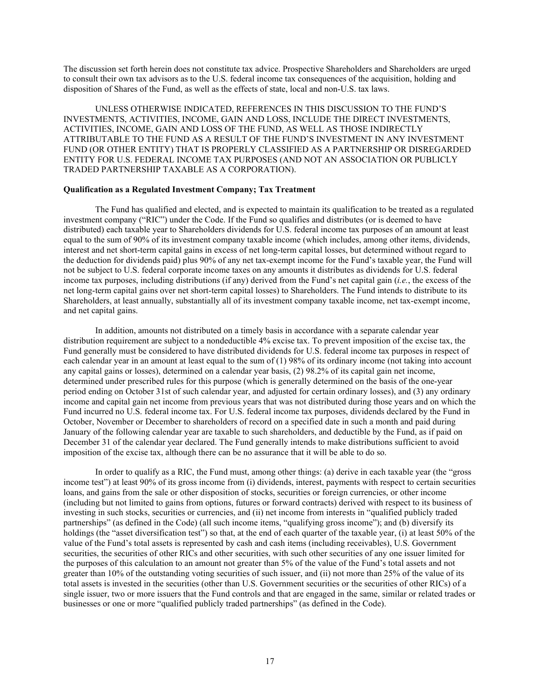The discussion set forth herein does not constitute tax advice. Prospective Shareholders and Shareholders are urged to consult their own tax advisors as to the U.S. federal income tax consequences of the acquisition, holding and disposition of Shares of the Fund, as well as the effects of state, local and non-U.S. tax laws.

UNLESS OTHERWISE INDICATED, REFERENCES IN THIS DISCUSSION TO THE FUND'S INVESTMENTS, ACTIVITIES, INCOME, GAIN AND LOSS, INCLUDE THE DIRECT INVESTMENTS, ACTIVITIES, INCOME, GAIN AND LOSS OF THE FUND, AS WELL AS THOSE INDIRECTLY ATTRIBUTABLE TO THE FUND AS A RESULT OF THE FUND'S INVESTMENT IN ANY INVESTMENT FUND (OR OTHER ENTITY) THAT IS PROPERLY CLASSIFIED AS A PARTNERSHIP OR DISREGARDED ENTITY FOR U.S. FEDERAL INCOME TAX PURPOSES (AND NOT AN ASSOCIATION OR PUBLICLY TRADED PARTNERSHIP TAXABLE AS A CORPORATION).

## **Qualification as a Regulated Investment Company; Tax Treatment**

The Fund has qualified and elected, and is expected to maintain its qualification to be treated as a regulated investment company ("RIC") under the Code. If the Fund so qualifies and distributes (or is deemed to have distributed) each taxable year to Shareholders dividends for U.S. federal income tax purposes of an amount at least equal to the sum of 90% of its investment company taxable income (which includes, among other items, dividends, interest and net short-term capital gains in excess of net long-term capital losses, but determined without regard to the deduction for dividends paid) plus 90% of any net tax-exempt income for the Fund's taxable year, the Fund will not be subject to U.S. federal corporate income taxes on any amounts it distributes as dividends for U.S. federal income tax purposes, including distributions (if any) derived from the Fund's net capital gain (*i.e.*, the excess of the net long-term capital gains over net short-term capital losses) to Shareholders. The Fund intends to distribute to its Shareholders, at least annually, substantially all of its investment company taxable income, net tax-exempt income, and net capital gains.

In addition, amounts not distributed on a timely basis in accordance with a separate calendar year distribution requirement are subject to a nondeductible 4% excise tax. To prevent imposition of the excise tax, the Fund generally must be considered to have distributed dividends for U.S. federal income tax purposes in respect of each calendar year in an amount at least equal to the sum of (1) 98% of its ordinary income (not taking into account any capital gains or losses), determined on a calendar year basis, (2) 98.2% of its capital gain net income, determined under prescribed rules for this purpose (which is generally determined on the basis of the one-year period ending on October 31st of such calendar year, and adjusted for certain ordinary losses), and (3) any ordinary income and capital gain net income from previous years that was not distributed during those years and on which the Fund incurred no U.S. federal income tax. For U.S. federal income tax purposes, dividends declared by the Fund in October, November or December to shareholders of record on a specified date in such a month and paid during January of the following calendar year are taxable to such shareholders, and deductible by the Fund, as if paid on December 31 of the calendar year declared. The Fund generally intends to make distributions sufficient to avoid imposition of the excise tax, although there can be no assurance that it will be able to do so.

In order to qualify as a RIC, the Fund must, among other things: (a) derive in each taxable year (the "gross income test") at least 90% of its gross income from (i) dividends, interest, payments with respect to certain securities loans, and gains from the sale or other disposition of stocks, securities or foreign currencies, or other income (including but not limited to gains from options, futures or forward contracts) derived with respect to its business of investing in such stocks, securities or currencies, and (ii) net income from interests in "qualified publicly traded partnerships" (as defined in the Code) (all such income items, "qualifying gross income"); and (b) diversify its holdings (the "asset diversification test") so that, at the end of each quarter of the taxable year, (i) at least 50% of the value of the Fund's total assets is represented by cash and cash items (including receivables), U.S. Government securities, the securities of other RICs and other securities, with such other securities of any one issuer limited for the purposes of this calculation to an amount not greater than 5% of the value of the Fund's total assets and not greater than 10% of the outstanding voting securities of such issuer, and (ii) not more than 25% of the value of its total assets is invested in the securities (other than U.S. Government securities or the securities of other RICs) of a single issuer, two or more issuers that the Fund controls and that are engaged in the same, similar or related trades or businesses or one or more "qualified publicly traded partnerships" (as defined in the Code).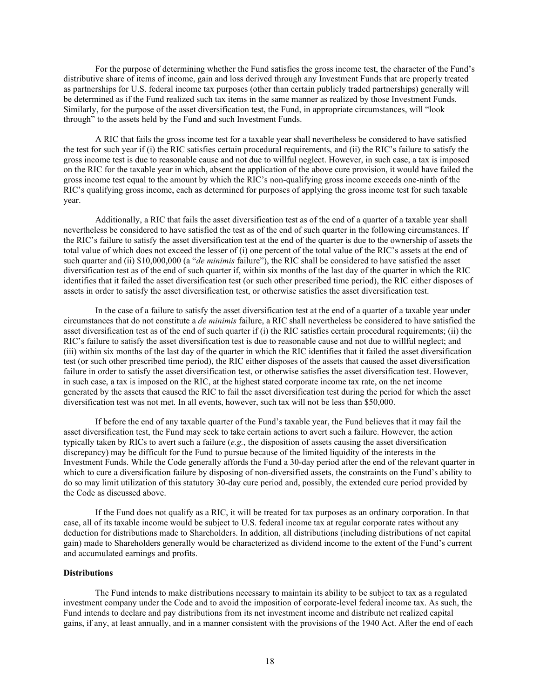For the purpose of determining whether the Fund satisfies the gross income test, the character of the Fund's distributive share of items of income, gain and loss derived through any Investment Funds that are properly treated as partnerships for U.S. federal income tax purposes (other than certain publicly traded partnerships) generally will be determined as if the Fund realized such tax items in the same manner as realized by those Investment Funds. Similarly, for the purpose of the asset diversification test, the Fund, in appropriate circumstances, will "look through" to the assets held by the Fund and such Investment Funds.

A RIC that fails the gross income test for a taxable year shall nevertheless be considered to have satisfied the test for such year if (i) the RIC satisfies certain procedural requirements, and (ii) the RIC's failure to satisfy the gross income test is due to reasonable cause and not due to willful neglect. However, in such case, a tax is imposed on the RIC for the taxable year in which, absent the application of the above cure provision, it would have failed the gross income test equal to the amount by which the RIC's non-qualifying gross income exceeds one-ninth of the RIC's qualifying gross income, each as determined for purposes of applying the gross income test for such taxable year.

Additionally, a RIC that fails the asset diversification test as of the end of a quarter of a taxable year shall nevertheless be considered to have satisfied the test as of the end of such quarter in the following circumstances. If the RIC's failure to satisfy the asset diversification test at the end of the quarter is due to the ownership of assets the total value of which does not exceed the lesser of (i) one percent of the total value of the RIC's assets at the end of such quarter and (ii) \$10,000,000 (a "*de minimis* failure"), the RIC shall be considered to have satisfied the asset diversification test as of the end of such quarter if, within six months of the last day of the quarter in which the RIC identifies that it failed the asset diversification test (or such other prescribed time period), the RIC either disposes of assets in order to satisfy the asset diversification test, or otherwise satisfies the asset diversification test.

In the case of a failure to satisfy the asset diversification test at the end of a quarter of a taxable year under circumstances that do not constitute a *de minimis* failure, a RIC shall nevertheless be considered to have satisfied the asset diversification test as of the end of such quarter if (i) the RIC satisfies certain procedural requirements; (ii) the RIC's failure to satisfy the asset diversification test is due to reasonable cause and not due to willful neglect; and (iii) within six months of the last day of the quarter in which the RIC identifies that it failed the asset diversification test (or such other prescribed time period), the RIC either disposes of the assets that caused the asset diversification failure in order to satisfy the asset diversification test, or otherwise satisfies the asset diversification test. However, in such case, a tax is imposed on the RIC, at the highest stated corporate income tax rate, on the net income generated by the assets that caused the RIC to fail the asset diversification test during the period for which the asset diversification test was not met. In all events, however, such tax will not be less than \$50,000.

If before the end of any taxable quarter of the Fund's taxable year, the Fund believes that it may fail the asset diversification test, the Fund may seek to take certain actions to avert such a failure. However, the action typically taken by RICs to avert such a failure (*e.g.*, the disposition of assets causing the asset diversification discrepancy) may be difficult for the Fund to pursue because of the limited liquidity of the interests in the Investment Funds. While the Code generally affords the Fund a 30-day period after the end of the relevant quarter in which to cure a diversification failure by disposing of non-diversified assets, the constraints on the Fund's ability to do so may limit utilization of this statutory 30-day cure period and, possibly, the extended cure period provided by the Code as discussed above.

If the Fund does not qualify as a RIC, it will be treated for tax purposes as an ordinary corporation. In that case, all of its taxable income would be subject to U.S. federal income tax at regular corporate rates without any deduction for distributions made to Shareholders. In addition, all distributions (including distributions of net capital gain) made to Shareholders generally would be characterized as dividend income to the extent of the Fund's current and accumulated earnings and profits.

## **Distributions**

The Fund intends to make distributions necessary to maintain its ability to be subject to tax as a regulated investment company under the Code and to avoid the imposition of corporate-level federal income tax. As such, the Fund intends to declare and pay distributions from its net investment income and distribute net realized capital gains, if any, at least annually, and in a manner consistent with the provisions of the 1940 Act. After the end of each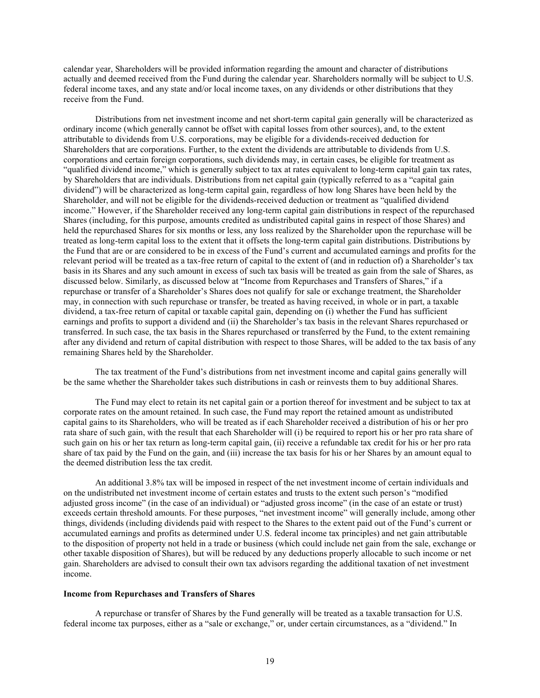calendar year, Shareholders will be provided information regarding the amount and character of distributions actually and deemed received from the Fund during the calendar year. Shareholders normally will be subject to U.S. federal income taxes, and any state and/or local income taxes, on any dividends or other distributions that they receive from the Fund.

Distributions from net investment income and net short-term capital gain generally will be characterized as ordinary income (which generally cannot be offset with capital losses from other sources), and, to the extent attributable to dividends from U.S. corporations, may be eligible for a dividends-received deduction for Shareholders that are corporations. Further, to the extent the dividends are attributable to dividends from U.S. corporations and certain foreign corporations, such dividends may, in certain cases, be eligible for treatment as "qualified dividend income," which is generally subject to tax at rates equivalent to long-term capital gain tax rates, by Shareholders that are individuals. Distributions from net capital gain (typically referred to as a "capital gain dividend") will be characterized as long-term capital gain, regardless of how long Shares have been held by the Shareholder, and will not be eligible for the dividends-received deduction or treatment as "qualified dividend income." However, if the Shareholder received any long-term capital gain distributions in respect of the repurchased Shares (including, for this purpose, amounts credited as undistributed capital gains in respect of those Shares) and held the repurchased Shares for six months or less, any loss realized by the Shareholder upon the repurchase will be treated as long-term capital loss to the extent that it offsets the long-term capital gain distributions. Distributions by the Fund that are or are considered to be in excess of the Fund's current and accumulated earnings and profits for the relevant period will be treated as a tax-free return of capital to the extent of (and in reduction of) a Shareholder's tax basis in its Shares and any such amount in excess of such tax basis will be treated as gain from the sale of Shares, as discussed below. Similarly, as discussed below at "Income from Repurchases and Transfers of Shares," if a repurchase or transfer of a Shareholder's Shares does not qualify for sale or exchange treatment, the Shareholder may, in connection with such repurchase or transfer, be treated as having received, in whole or in part, a taxable dividend, a tax-free return of capital or taxable capital gain, depending on (i) whether the Fund has sufficient earnings and profits to support a dividend and (ii) the Shareholder's tax basis in the relevant Shares repurchased or transferred. In such case, the tax basis in the Shares repurchased or transferred by the Fund, to the extent remaining after any dividend and return of capital distribution with respect to those Shares, will be added to the tax basis of any remaining Shares held by the Shareholder.

The tax treatment of the Fund's distributions from net investment income and capital gains generally will be the same whether the Shareholder takes such distributions in cash or reinvests them to buy additional Shares.

The Fund may elect to retain its net capital gain or a portion thereof for investment and be subject to tax at corporate rates on the amount retained. In such case, the Fund may report the retained amount as undistributed capital gains to its Shareholders, who will be treated as if each Shareholder received a distribution of his or her pro rata share of such gain, with the result that each Shareholder will (i) be required to report his or her pro rata share of such gain on his or her tax return as long-term capital gain, (ii) receive a refundable tax credit for his or her pro rata share of tax paid by the Fund on the gain, and (iii) increase the tax basis for his or her Shares by an amount equal to the deemed distribution less the tax credit.

An additional 3.8% tax will be imposed in respect of the net investment income of certain individuals and on the undistributed net investment income of certain estates and trusts to the extent such person's "modified adjusted gross income" (in the case of an individual) or "adjusted gross income" (in the case of an estate or trust) exceeds certain threshold amounts. For these purposes, "net investment income" will generally include, among other things, dividends (including dividends paid with respect to the Shares to the extent paid out of the Fund's current or accumulated earnings and profits as determined under U.S. federal income tax principles) and net gain attributable to the disposition of property not held in a trade or business (which could include net gain from the sale, exchange or other taxable disposition of Shares), but will be reduced by any deductions properly allocable to such income or net gain. Shareholders are advised to consult their own tax advisors regarding the additional taxation of net investment income.

#### **Income from Repurchases and Transfers of Shares**

A repurchase or transfer of Shares by the Fund generally will be treated as a taxable transaction for U.S. federal income tax purposes, either as a "sale or exchange," or, under certain circumstances, as a "dividend." In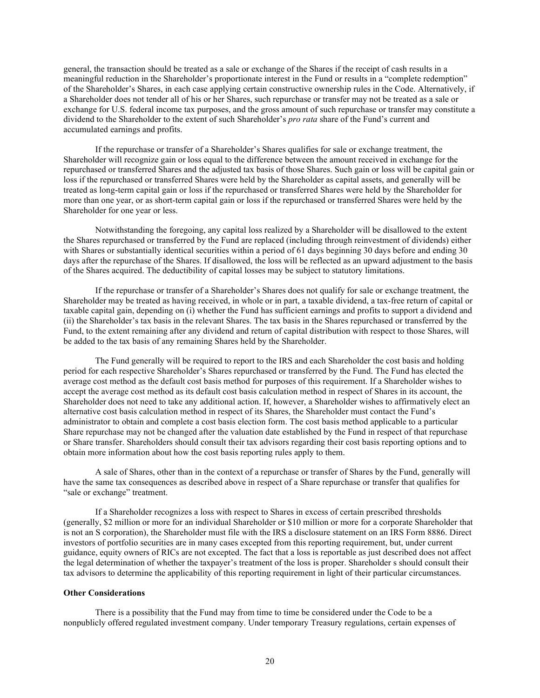general, the transaction should be treated as a sale or exchange of the Shares if the receipt of cash results in a meaningful reduction in the Shareholder's proportionate interest in the Fund or results in a "complete redemption" of the Shareholder's Shares, in each case applying certain constructive ownership rules in the Code. Alternatively, if a Shareholder does not tender all of his or her Shares, such repurchase or transfer may not be treated as a sale or exchange for U.S. federal income tax purposes, and the gross amount of such repurchase or transfer may constitute a dividend to the Shareholder to the extent of such Shareholder's *pro rata* share of the Fund's current and accumulated earnings and profits.

If the repurchase or transfer of a Shareholder's Shares qualifies for sale or exchange treatment, the Shareholder will recognize gain or loss equal to the difference between the amount received in exchange for the repurchased or transferred Shares and the adjusted tax basis of those Shares. Such gain or loss will be capital gain or loss if the repurchased or transferred Shares were held by the Shareholder as capital assets, and generally will be treated as long-term capital gain or loss if the repurchased or transferred Shares were held by the Shareholder for more than one year, or as short-term capital gain or loss if the repurchased or transferred Shares were held by the Shareholder for one year or less.

Notwithstanding the foregoing, any capital loss realized by a Shareholder will be disallowed to the extent the Shares repurchased or transferred by the Fund are replaced (including through reinvestment of dividends) either with Shares or substantially identical securities within a period of 61 days beginning 30 days before and ending 30 days after the repurchase of the Shares. If disallowed, the loss will be reflected as an upward adjustment to the basis of the Shares acquired. The deductibility of capital losses may be subject to statutory limitations.

If the repurchase or transfer of a Shareholder's Shares does not qualify for sale or exchange treatment, the Shareholder may be treated as having received, in whole or in part, a taxable dividend, a tax-free return of capital or taxable capital gain, depending on (i) whether the Fund has sufficient earnings and profits to support a dividend and (ii) the Shareholder's tax basis in the relevant Shares. The tax basis in the Shares repurchased or transferred by the Fund, to the extent remaining after any dividend and return of capital distribution with respect to those Shares, will be added to the tax basis of any remaining Shares held by the Shareholder.

The Fund generally will be required to report to the IRS and each Shareholder the cost basis and holding period for each respective Shareholder's Shares repurchased or transferred by the Fund. The Fund has elected the average cost method as the default cost basis method for purposes of this requirement. If a Shareholder wishes to accept the average cost method as its default cost basis calculation method in respect of Shares in its account, the Shareholder does not need to take any additional action. If, however, a Shareholder wishes to affirmatively elect an alternative cost basis calculation method in respect of its Shares, the Shareholder must contact the Fund's administrator to obtain and complete a cost basis election form. The cost basis method applicable to a particular Share repurchase may not be changed after the valuation date established by the Fund in respect of that repurchase or Share transfer. Shareholders should consult their tax advisors regarding their cost basis reporting options and to obtain more information about how the cost basis reporting rules apply to them.

A sale of Shares, other than in the context of a repurchase or transfer of Shares by the Fund, generally will have the same tax consequences as described above in respect of a Share repurchase or transfer that qualifies for "sale or exchange" treatment.

If a Shareholder recognizes a loss with respect to Shares in excess of certain prescribed thresholds (generally, \$2 million or more for an individual Shareholder or \$10 million or more for a corporate Shareholder that is not an S corporation), the Shareholder must file with the IRS a disclosure statement on an IRS Form 8886. Direct investors of portfolio securities are in many cases excepted from this reporting requirement, but, under current guidance, equity owners of RICs are not excepted. The fact that a loss is reportable as just described does not affect the legal determination of whether the taxpayer's treatment of the loss is proper. Shareholder s should consult their tax advisors to determine the applicability of this reporting requirement in light of their particular circumstances.

### **Other Considerations**

There is a possibility that the Fund may from time to time be considered under the Code to be a nonpublicly offered regulated investment company. Under temporary Treasury regulations, certain expenses of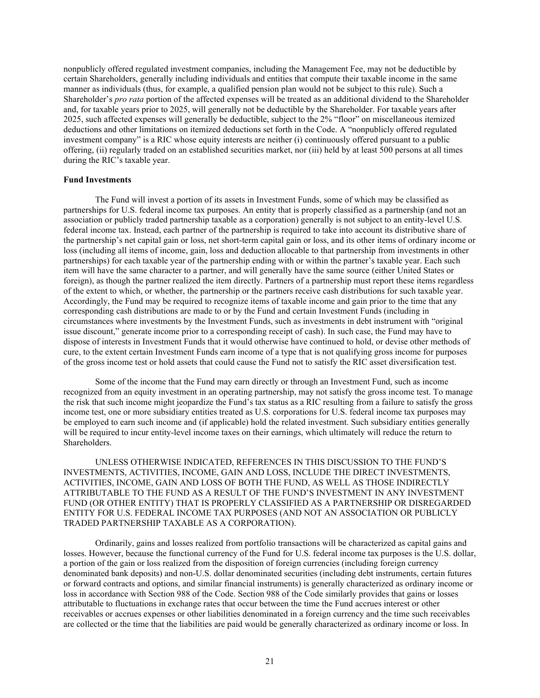nonpublicly offered regulated investment companies, including the Management Fee, may not be deductible by certain Shareholders, generally including individuals and entities that compute their taxable income in the same manner as individuals (thus, for example, a qualified pension plan would not be subject to this rule). Such a Shareholder's *pro rata* portion of the affected expenses will be treated as an additional dividend to the Shareholder and, for taxable years prior to 2025, will generally not be deductible by the Shareholder. For taxable years after 2025, such affected expenses will generally be deductible, subject to the 2% "floor" on miscellaneous itemized deductions and other limitations on itemized deductions set forth in the Code. A "nonpublicly offered regulated investment company" is a RIC whose equity interests are neither (i) continuously offered pursuant to a public offering, (ii) regularly traded on an established securities market, nor (iii) held by at least 500 persons at all times during the RIC's taxable year.

#### **Fund Investments**

The Fund will invest a portion of its assets in Investment Funds, some of which may be classified as partnerships for U.S. federal income tax purposes. An entity that is properly classified as a partnership (and not an association or publicly traded partnership taxable as a corporation) generally is not subject to an entity-level U.S. federal income tax. Instead, each partner of the partnership is required to take into account its distributive share of the partnership's net capital gain or loss, net short-term capital gain or loss, and its other items of ordinary income or loss (including all items of income, gain, loss and deduction allocable to that partnership from investments in other partnerships) for each taxable year of the partnership ending with or within the partner's taxable year. Each such item will have the same character to a partner, and will generally have the same source (either United States or foreign), as though the partner realized the item directly. Partners of a partnership must report these items regardless of the extent to which, or whether, the partnership or the partners receive cash distributions for such taxable year. Accordingly, the Fund may be required to recognize items of taxable income and gain prior to the time that any corresponding cash distributions are made to or by the Fund and certain Investment Funds (including in circumstances where investments by the Investment Funds, such as investments in debt instrument with "original issue discount," generate income prior to a corresponding receipt of cash). In such case, the Fund may have to dispose of interests in Investment Funds that it would otherwise have continued to hold, or devise other methods of cure, to the extent certain Investment Funds earn income of a type that is not qualifying gross income for purposes of the gross income test or hold assets that could cause the Fund not to satisfy the RIC asset diversification test.

Some of the income that the Fund may earn directly or through an Investment Fund, such as income recognized from an equity investment in an operating partnership, may not satisfy the gross income test. To manage the risk that such income might jeopardize the Fund's tax status as a RIC resulting from a failure to satisfy the gross income test, one or more subsidiary entities treated as U.S. corporations for U.S. federal income tax purposes may be employed to earn such income and (if applicable) hold the related investment. Such subsidiary entities generally will be required to incur entity-level income taxes on their earnings, which ultimately will reduce the return to Shareholders.

UNLESS OTHERWISE INDICATED, REFERENCES IN THIS DISCUSSION TO THE FUND'S INVESTMENTS, ACTIVITIES, INCOME, GAIN AND LOSS, INCLUDE THE DIRECT INVESTMENTS, ACTIVITIES, INCOME, GAIN AND LOSS OF BOTH THE FUND, AS WELL AS THOSE INDIRECTLY ATTRIBUTABLE TO THE FUND AS A RESULT OF THE FUND'S INVESTMENT IN ANY INVESTMENT FUND (OR OTHER ENTITY) THAT IS PROPERLY CLASSIFIED AS A PARTNERSHIP OR DISREGARDED ENTITY FOR U.S. FEDERAL INCOME TAX PURPOSES (AND NOT AN ASSOCIATION OR PUBLICLY TRADED PARTNERSHIP TAXABLE AS A CORPORATION).

Ordinarily, gains and losses realized from portfolio transactions will be characterized as capital gains and losses. However, because the functional currency of the Fund for U.S. federal income tax purposes is the U.S. dollar, a portion of the gain or loss realized from the disposition of foreign currencies (including foreign currency denominated bank deposits) and non-U.S. dollar denominated securities (including debt instruments, certain futures or forward contracts and options, and similar financial instruments) is generally characterized as ordinary income or loss in accordance with Section 988 of the Code. Section 988 of the Code similarly provides that gains or losses attributable to fluctuations in exchange rates that occur between the time the Fund accrues interest or other receivables or accrues expenses or other liabilities denominated in a foreign currency and the time such receivables are collected or the time that the liabilities are paid would be generally characterized as ordinary income or loss. In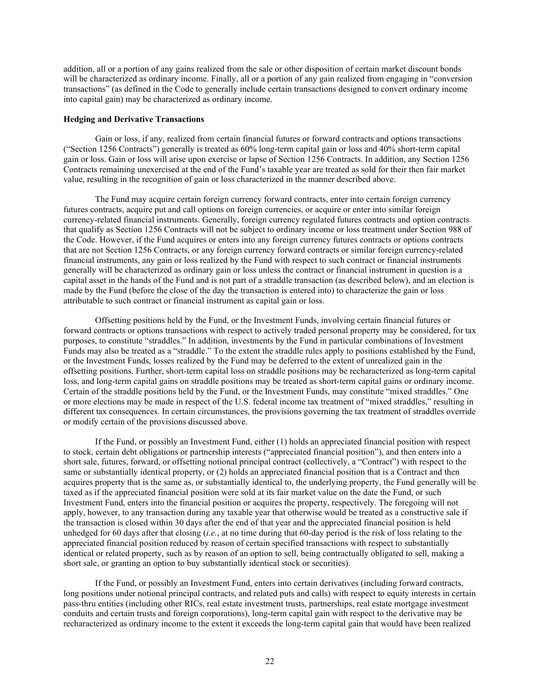addition, all or a portion of any gains realized from the sale or other disposition of certain market discount bonds will be characterized as ordinary income. Finally, all or a portion of any gain realized from engaging in "conversion transactions" (as defined in the Code to generally include certain transactions designed to convert ordinary income into capital gain) may be characterized as ordinary income.

#### **Hedging and Derivative Transactions**

Gain or loss, if any, realized from certain financial futures or forward contracts and options transactions ("Section 1256 Contracts") generally is treated as 60% long-term capital gain or loss and 40% short-term capital gain or loss. Gain or loss will arise upon exercise or lapse of Section 1256 Contracts. In addition, any Section 1256 Contracts remaining unexercised at the end of the Fund's taxable year are treated as sold for their then fair market value, resulting in the recognition of gain or loss characterized in the manner described above.

The Fund may acquire certain foreign currency forward contracts, enter into certain foreign currency futures contracts, acquire put and call options on foreign currencies, or acquire or enter into similar foreign currency-related financial instruments. Generally, foreign currency regulated futures contracts and option contracts that qualify as Section 1256 Contracts will not be subject to ordinary income or loss treatment under Section 988 of the Code. However, if the Fund acquires or enters into any foreign currency futures contracts or options contracts that are not Section 1256 Contracts, or any foreign currency forward contracts or similar foreign currency-related financial instruments, any gain or loss realized by the Fund with respect to such contract or financial instruments generally will be characterized as ordinary gain or loss unless the contract or financial instrument in question is a capital asset in the hands of the Fund and is not part of a straddle transaction (as described below), and an election is made by the Fund (before the close of the day the transaction is entered into) to characterize the gain or loss attributable to such contract or financial instrument as capital gain or loss.

Offsetting positions held by the Fund, or the Investment Funds, involving certain financial futures or forward contracts or options transactions with respect to actively traded personal property may be considered, for tax purposes, to constitute "straddles." In addition, investments by the Fund in particular combinations of Investment Funds may also be treated as a "straddle." To the extent the straddle rules apply to positions established by the Fund, or the Investment Funds, losses realized by the Fund may be deferred to the extent of unrealized gain in the offsetting positions. Further, short-term capital loss on straddle positions may be recharacterized as long-term capital loss, and long-term capital gains on straddle positions may be treated as short-term capital gains or ordinary income. Certain of the straddle positions held by the Fund, or the Investment Funds, may constitute "mixed straddles." One or more elections may be made in respect of the U.S. federal income tax treatment of "mixed straddles," resulting in different tax consequences. In certain circumstances, the provisions governing the tax treatment of straddles override or modify certain of the provisions discussed above.

If the Fund, or possibly an Investment Fund, either (1) holds an appreciated financial position with respect to stock, certain debt obligations or partnership interests ("appreciated financial position"), and then enters into a short sale, futures, forward, or offsetting notional principal contract (collectively, a "Contract") with respect to the same or substantially identical property, or (2) holds an appreciated financial position that is a Contract and then acquires property that is the same as, or substantially identical to, the underlying property, the Fund generally will be taxed as if the appreciated financial position were sold at its fair market value on the date the Fund, or such Investment Fund, enters into the financial position or acquires the property, respectively. The foregoing will not apply, however, to any transaction during any taxable year that otherwise would be treated as a constructive sale if the transaction is closed within 30 days after the end of that year and the appreciated financial position is held unhedged for 60 days after that closing (*i.e.*, at no time during that 60-day period is the risk of loss relating to the appreciated financial position reduced by reason of certain specified transactions with respect to substantially identical or related property, such as by reason of an option to sell, being contractually obligated to sell, making a short sale, or granting an option to buy substantially identical stock or securities).

If the Fund, or possibly an Investment Fund, enters into certain derivatives (including forward contracts, long positions under notional principal contracts, and related puts and calls) with respect to equity interests in certain pass-thru entities (including other RICs, real estate investment trusts, partnerships, real estate mortgage investment conduits and certain trusts and foreign corporations), long-term capital gain with respect to the derivative may be recharacterized as ordinary income to the extent it exceeds the long-term capital gain that would have been realized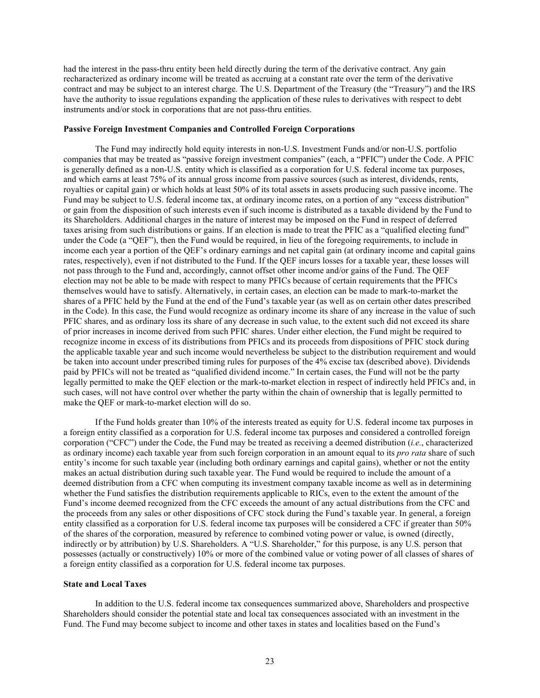had the interest in the pass-thru entity been held directly during the term of the derivative contract. Any gain recharacterized as ordinary income will be treated as accruing at a constant rate over the term of the derivative contract and may be subject to an interest charge. The U.S. Department of the Treasury (the "Treasury") and the IRS have the authority to issue regulations expanding the application of these rules to derivatives with respect to debt instruments and/or stock in corporations that are not pass-thru entities.

#### **Passive Foreign Investment Companies and Controlled Foreign Corporations**

The Fund may indirectly hold equity interests in non-U.S. Investment Funds and/or non-U.S. portfolio companies that may be treated as "passive foreign investment companies" (each, a "PFIC") under the Code. A PFIC is generally defined as a non-U.S. entity which is classified as a corporation for U.S. federal income tax purposes, and which earns at least 75% of its annual gross income from passive sources (such as interest, dividends, rents, royalties or capital gain) or which holds at least 50% of its total assets in assets producing such passive income. The Fund may be subject to U.S. federal income tax, at ordinary income rates, on a portion of any "excess distribution" or gain from the disposition of such interests even if such income is distributed as a taxable dividend by the Fund to its Shareholders. Additional charges in the nature of interest may be imposed on the Fund in respect of deferred taxes arising from such distributions or gains. If an election is made to treat the PFIC as a "qualified electing fund" under the Code (a "QEF"), then the Fund would be required, in lieu of the foregoing requirements, to include in income each year a portion of the QEF's ordinary earnings and net capital gain (at ordinary income and capital gains rates, respectively), even if not distributed to the Fund. If the QEF incurs losses for a taxable year, these losses will not pass through to the Fund and, accordingly, cannot offset other income and/or gains of the Fund. The QEF election may not be able to be made with respect to many PFICs because of certain requirements that the PFICs themselves would have to satisfy. Alternatively, in certain cases, an election can be made to mark-to-market the shares of a PFIC held by the Fund at the end of the Fund's taxable year (as well as on certain other dates prescribed in the Code). In this case, the Fund would recognize as ordinary income its share of any increase in the value of such PFIC shares, and as ordinary loss its share of any decrease in such value, to the extent such did not exceed its share of prior increases in income derived from such PFIC shares. Under either election, the Fund might be required to recognize income in excess of its distributions from PFICs and its proceeds from dispositions of PFIC stock during the applicable taxable year and such income would nevertheless be subject to the distribution requirement and would be taken into account under prescribed timing rules for purposes of the 4% excise tax (described above). Dividends paid by PFICs will not be treated as "qualified dividend income." In certain cases, the Fund will not be the party legally permitted to make the QEF election or the mark-to-market election in respect of indirectly held PFICs and, in such cases, will not have control over whether the party within the chain of ownership that is legally permitted to make the QEF or mark-to-market election will do so.

If the Fund holds greater than 10% of the interests treated as equity for U.S. federal income tax purposes in a foreign entity classified as a corporation for U.S. federal income tax purposes and considered a controlled foreign corporation ("CFC") under the Code, the Fund may be treated as receiving a deemed distribution (*i.e.*, characterized as ordinary income) each taxable year from such foreign corporation in an amount equal to its *pro rata* share of such entity's income for such taxable year (including both ordinary earnings and capital gains), whether or not the entity makes an actual distribution during such taxable year. The Fund would be required to include the amount of a deemed distribution from a CFC when computing its investment company taxable income as well as in determining whether the Fund satisfies the distribution requirements applicable to RICs, even to the extent the amount of the Fund's income deemed recognized from the CFC exceeds the amount of any actual distributions from the CFC and the proceeds from any sales or other dispositions of CFC stock during the Fund's taxable year. In general, a foreign entity classified as a corporation for U.S. federal income tax purposes will be considered a CFC if greater than 50% of the shares of the corporation, measured by reference to combined voting power or value, is owned (directly, indirectly or by attribution) by U.S. Shareholders. A "U.S. Shareholder," for this purpose, is any U.S. person that possesses (actually or constructively) 10% or more of the combined value or voting power of all classes of shares of a foreign entity classified as a corporation for U.S. federal income tax purposes.

#### **State and Local Taxes**

In addition to the U.S. federal income tax consequences summarized above, Shareholders and prospective Shareholders should consider the potential state and local tax consequences associated with an investment in the Fund. The Fund may become subject to income and other taxes in states and localities based on the Fund's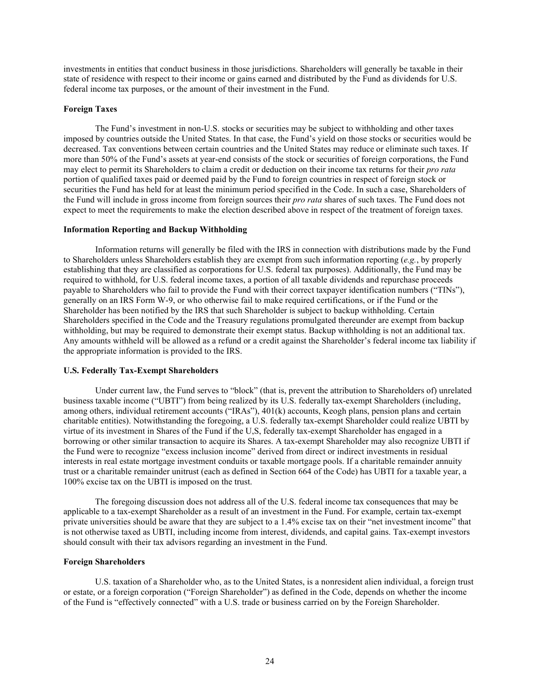investments in entities that conduct business in those jurisdictions. Shareholders will generally be taxable in their state of residence with respect to their income or gains earned and distributed by the Fund as dividends for U.S. federal income tax purposes, or the amount of their investment in the Fund.

## **Foreign Taxes**

The Fund's investment in non-U.S. stocks or securities may be subject to withholding and other taxes imposed by countries outside the United States. In that case, the Fund's yield on those stocks or securities would be decreased. Tax conventions between certain countries and the United States may reduce or eliminate such taxes. If more than 50% of the Fund's assets at year-end consists of the stock or securities of foreign corporations, the Fund may elect to permit its Shareholders to claim a credit or deduction on their income tax returns for their *pro rata*  portion of qualified taxes paid or deemed paid by the Fund to foreign countries in respect of foreign stock or securities the Fund has held for at least the minimum period specified in the Code. In such a case, Shareholders of the Fund will include in gross income from foreign sources their *pro rata* shares of such taxes. The Fund does not expect to meet the requirements to make the election described above in respect of the treatment of foreign taxes.

#### **Information Reporting and Backup Withholding**

Information returns will generally be filed with the IRS in connection with distributions made by the Fund to Shareholders unless Shareholders establish they are exempt from such information reporting (*e.g.*, by properly establishing that they are classified as corporations for U.S. federal tax purposes). Additionally, the Fund may be required to withhold, for U.S. federal income taxes, a portion of all taxable dividends and repurchase proceeds payable to Shareholders who fail to provide the Fund with their correct taxpayer identification numbers ("TINs"), generally on an IRS Form W-9, or who otherwise fail to make required certifications, or if the Fund or the Shareholder has been notified by the IRS that such Shareholder is subject to backup withholding. Certain Shareholders specified in the Code and the Treasury regulations promulgated thereunder are exempt from backup withholding, but may be required to demonstrate their exempt status. Backup withholding is not an additional tax. Any amounts withheld will be allowed as a refund or a credit against the Shareholder's federal income tax liability if the appropriate information is provided to the IRS.

## **U.S. Federally Tax-Exempt Shareholders**

Under current law, the Fund serves to "block" (that is, prevent the attribution to Shareholders of) unrelated business taxable income ("UBTI") from being realized by its U.S. federally tax-exempt Shareholders (including, among others, individual retirement accounts ("IRAs"), 401(k) accounts, Keogh plans, pension plans and certain charitable entities). Notwithstanding the foregoing, a U.S. federally tax-exempt Shareholder could realize UBTI by virtue of its investment in Shares of the Fund if the U,S, federally tax-exempt Shareholder has engaged in a borrowing or other similar transaction to acquire its Shares. A tax-exempt Shareholder may also recognize UBTI if the Fund were to recognize "excess inclusion income" derived from direct or indirect investments in residual interests in real estate mortgage investment conduits or taxable mortgage pools. If a charitable remainder annuity trust or a charitable remainder unitrust (each as defined in Section 664 of the Code) has UBTI for a taxable year, a 100% excise tax on the UBTI is imposed on the trust.

The foregoing discussion does not address all of the U.S. federal income tax consequences that may be applicable to a tax-exempt Shareholder as a result of an investment in the Fund. For example, certain tax-exempt private universities should be aware that they are subject to a 1.4% excise tax on their "net investment income" that is not otherwise taxed as UBTI, including income from interest, dividends, and capital gains. Tax-exempt investors should consult with their tax advisors regarding an investment in the Fund.

## **Foreign Shareholders**

U.S. taxation of a Shareholder who, as to the United States, is a nonresident alien individual, a foreign trust or estate, or a foreign corporation ("Foreign Shareholder") as defined in the Code, depends on whether the income of the Fund is "effectively connected" with a U.S. trade or business carried on by the Foreign Shareholder.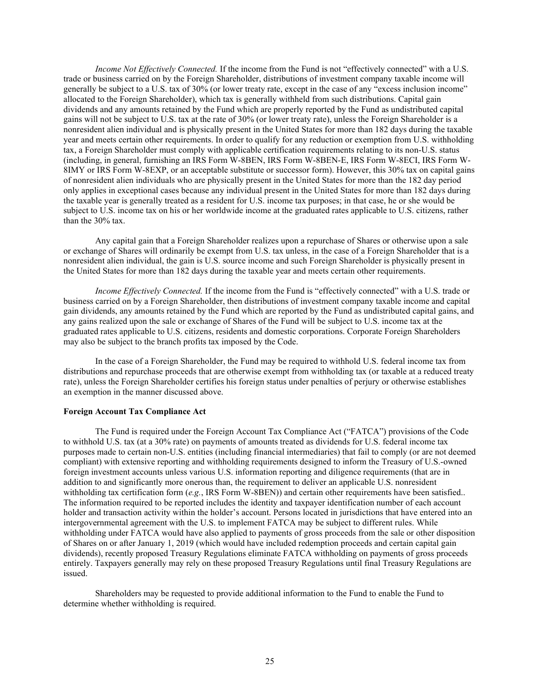*Income Not Effectively Connected.* If the income from the Fund is not "effectively connected" with a U.S. trade or business carried on by the Foreign Shareholder, distributions of investment company taxable income will generally be subject to a U.S. tax of 30% (or lower treaty rate, except in the case of any "excess inclusion income" allocated to the Foreign Shareholder), which tax is generally withheld from such distributions. Capital gain dividends and any amounts retained by the Fund which are properly reported by the Fund as undistributed capital gains will not be subject to U.S. tax at the rate of 30% (or lower treaty rate), unless the Foreign Shareholder is a nonresident alien individual and is physically present in the United States for more than 182 days during the taxable year and meets certain other requirements. In order to qualify for any reduction or exemption from U.S. withholding tax, a Foreign Shareholder must comply with applicable certification requirements relating to its non-U.S. status (including, in general, furnishing an IRS Form W-8BEN, IRS Form W-8BEN-E, IRS Form W-8ECI, IRS Form W-8IMY or IRS Form W-8EXP, or an acceptable substitute or successor form). However, this 30% tax on capital gains of nonresident alien individuals who are physically present in the United States for more than the 182 day period only applies in exceptional cases because any individual present in the United States for more than 182 days during the taxable year is generally treated as a resident for U.S. income tax purposes; in that case, he or she would be subject to U.S. income tax on his or her worldwide income at the graduated rates applicable to U.S. citizens, rather than the 30% tax.

Any capital gain that a Foreign Shareholder realizes upon a repurchase of Shares or otherwise upon a sale or exchange of Shares will ordinarily be exempt from U.S. tax unless, in the case of a Foreign Shareholder that is a nonresident alien individual, the gain is U.S. source income and such Foreign Shareholder is physically present in the United States for more than 182 days during the taxable year and meets certain other requirements.

*Income Effectively Connected.* If the income from the Fund is "effectively connected" with a U.S. trade or business carried on by a Foreign Shareholder, then distributions of investment company taxable income and capital gain dividends, any amounts retained by the Fund which are reported by the Fund as undistributed capital gains, and any gains realized upon the sale or exchange of Shares of the Fund will be subject to U.S. income tax at the graduated rates applicable to U.S. citizens, residents and domestic corporations. Corporate Foreign Shareholders may also be subject to the branch profits tax imposed by the Code.

In the case of a Foreign Shareholder, the Fund may be required to withhold U.S. federal income tax from distributions and repurchase proceeds that are otherwise exempt from withholding tax (or taxable at a reduced treaty rate), unless the Foreign Shareholder certifies his foreign status under penalties of perjury or otherwise establishes an exemption in the manner discussed above.

#### **Foreign Account Tax Compliance Act**

The Fund is required under the Foreign Account Tax Compliance Act ("FATCA") provisions of the Code to withhold U.S. tax (at a 30% rate) on payments of amounts treated as dividends for U.S. federal income tax purposes made to certain non-U.S. entities (including financial intermediaries) that fail to comply (or are not deemed compliant) with extensive reporting and withholding requirements designed to inform the Treasury of U.S.-owned foreign investment accounts unless various U.S. information reporting and diligence requirements (that are in addition to and significantly more onerous than, the requirement to deliver an applicable U.S. nonresident withholding tax certification form (*e.g.*, IRS Form W-8BEN)) and certain other requirements have been satisfied.. The information required to be reported includes the identity and taxpayer identification number of each account holder and transaction activity within the holder's account. Persons located in jurisdictions that have entered into an intergovernmental agreement with the U.S. to implement FATCA may be subject to different rules. While withholding under FATCA would have also applied to payments of gross proceeds from the sale or other disposition of Shares on or after January 1, 2019 (which would have included redemption proceeds and certain capital gain dividends), recently proposed Treasury Regulations eliminate FATCA withholding on payments of gross proceeds entirely. Taxpayers generally may rely on these proposed Treasury Regulations until final Treasury Regulations are issued.

Shareholders may be requested to provide additional information to the Fund to enable the Fund to determine whether withholding is required.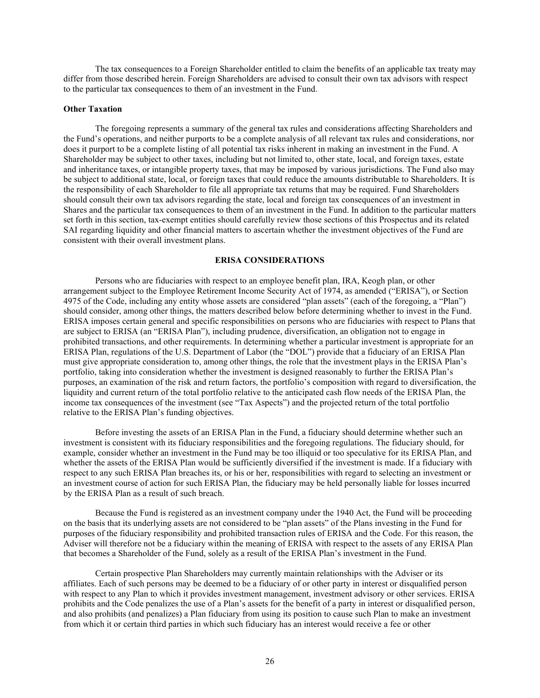The tax consequences to a Foreign Shareholder entitled to claim the benefits of an applicable tax treaty may differ from those described herein. Foreign Shareholders are advised to consult their own tax advisors with respect to the particular tax consequences to them of an investment in the Fund.

#### **Other Taxation**

The foregoing represents a summary of the general tax rules and considerations affecting Shareholders and the Fund's operations, and neither purports to be a complete analysis of all relevant tax rules and considerations, nor does it purport to be a complete listing of all potential tax risks inherent in making an investment in the Fund. A Shareholder may be subject to other taxes, including but not limited to, other state, local, and foreign taxes, estate and inheritance taxes, or intangible property taxes, that may be imposed by various jurisdictions. The Fund also may be subject to additional state, local, or foreign taxes that could reduce the amounts distributable to Shareholders. It is the responsibility of each Shareholder to file all appropriate tax returns that may be required. Fund Shareholders should consult their own tax advisors regarding the state, local and foreign tax consequences of an investment in Shares and the particular tax consequences to them of an investment in the Fund. In addition to the particular matters set forth in this section, tax-exempt entities should carefully review those sections of this Prospectus and its related SAI regarding liquidity and other financial matters to ascertain whether the investment objectives of the Fund are consistent with their overall investment plans.

## **ERISA CONSIDERATIONS**

<span id="page-26-0"></span>Persons who are fiduciaries with respect to an employee benefit plan, IRA, Keogh plan, or other arrangement subject to the Employee Retirement Income Security Act of 1974, as amended ("ERISA"), or Section 4975 of the Code, including any entity whose assets are considered "plan assets" (each of the foregoing, a "Plan") should consider, among other things, the matters described below before determining whether to invest in the Fund. ERISA imposes certain general and specific responsibilities on persons who are fiduciaries with respect to Plans that are subject to ERISA (an "ERISA Plan"), including prudence, diversification, an obligation not to engage in prohibited transactions, and other requirements. In determining whether a particular investment is appropriate for an ERISA Plan, regulations of the U.S. Department of Labor (the "DOL") provide that a fiduciary of an ERISA Plan must give appropriate consideration to, among other things, the role that the investment plays in the ERISA Plan's portfolio, taking into consideration whether the investment is designed reasonably to further the ERISA Plan's purposes, an examination of the risk and return factors, the portfolio's composition with regard to diversification, the liquidity and current return of the total portfolio relative to the anticipated cash flow needs of the ERISA Plan, the income tax consequences of the investment (see "Tax Aspects") and the projected return of the total portfolio relative to the ERISA Plan's funding objectives.

Before investing the assets of an ERISA Plan in the Fund, a fiduciary should determine whether such an investment is consistent with its fiduciary responsibilities and the foregoing regulations. The fiduciary should, for example, consider whether an investment in the Fund may be too illiquid or too speculative for its ERISA Plan, and whether the assets of the ERISA Plan would be sufficiently diversified if the investment is made. If a fiduciary with respect to any such ERISA Plan breaches its, or his or her, responsibilities with regard to selecting an investment or an investment course of action for such ERISA Plan, the fiduciary may be held personally liable for losses incurred by the ERISA Plan as a result of such breach.

Because the Fund is registered as an investment company under the 1940 Act, the Fund will be proceeding on the basis that its underlying assets are not considered to be "plan assets" of the Plans investing in the Fund for purposes of the fiduciary responsibility and prohibited transaction rules of ERISA and the Code. For this reason, the Adviser will therefore not be a fiduciary within the meaning of ERISA with respect to the assets of any ERISA Plan that becomes a Shareholder of the Fund, solely as a result of the ERISA Plan's investment in the Fund.

Certain prospective Plan Shareholders may currently maintain relationships with the Adviser or its affiliates. Each of such persons may be deemed to be a fiduciary of or other party in interest or disqualified person with respect to any Plan to which it provides investment management, investment advisory or other services. ERISA prohibits and the Code penalizes the use of a Plan's assets for the benefit of a party in interest or disqualified person, and also prohibits (and penalizes) a Plan fiduciary from using its position to cause such Plan to make an investment from which it or certain third parties in which such fiduciary has an interest would receive a fee or other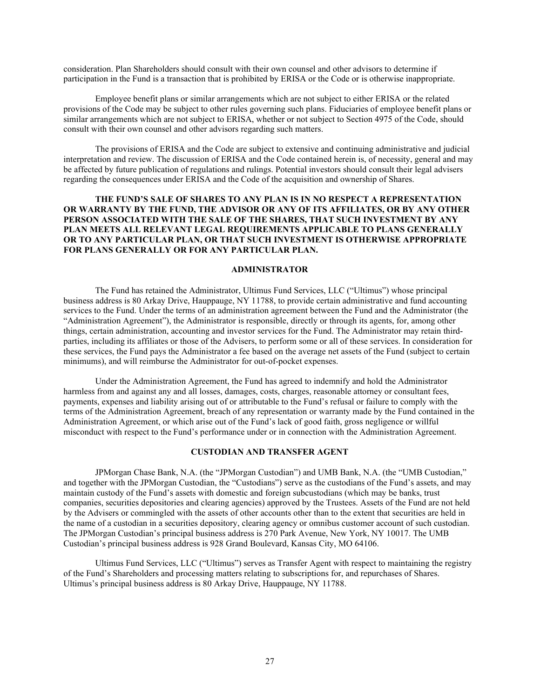consideration. Plan Shareholders should consult with their own counsel and other advisors to determine if participation in the Fund is a transaction that is prohibited by ERISA or the Code or is otherwise inappropriate.

Employee benefit plans or similar arrangements which are not subject to either ERISA or the related provisions of the Code may be subject to other rules governing such plans. Fiduciaries of employee benefit plans or similar arrangements which are not subject to ERISA, whether or not subject to Section 4975 of the Code, should consult with their own counsel and other advisors regarding such matters.

The provisions of ERISA and the Code are subject to extensive and continuing administrative and judicial interpretation and review. The discussion of ERISA and the Code contained herein is, of necessity, general and may be affected by future publication of regulations and rulings. Potential investors should consult their legal advisers regarding the consequences under ERISA and the Code of the acquisition and ownership of Shares.

## **THE FUND'S SALE OF SHARES TO ANY PLAN IS IN NO RESPECT A REPRESENTATION OR WARRANTY BY THE FUND, THE ADVISOR OR ANY OF ITS AFFILIATES, OR BY ANY OTHER PERSON ASSOCIATED WITH THE SALE OF THE SHARES, THAT SUCH INVESTMENT BY ANY PLAN MEETS ALL RELEVANT LEGAL REQUIREMENTS APPLICABLE TO PLANS GENERALLY OR TO ANY PARTICULAR PLAN, OR THAT SUCH INVESTMENT IS OTHERWISE APPROPRIATE FOR PLANS GENERALLY OR FOR ANY PARTICULAR PLAN.**

#### **ADMINISTRATOR**

<span id="page-27-0"></span>The Fund has retained the Administrator, Ultimus Fund Services, LLC ("Ultimus") whose principal business address is 80 Arkay Drive, Hauppauge, NY 11788, to provide certain administrative and fund accounting services to the Fund. Under the terms of an administration agreement between the Fund and the Administrator (the "Administration Agreement"), the Administrator is responsible, directly or through its agents, for, among other things, certain administration, accounting and investor services for the Fund. The Administrator may retain thirdparties, including its affiliates or those of the Advisers, to perform some or all of these services. In consideration for these services, the Fund pays the Administrator a fee based on the average net assets of the Fund (subject to certain minimums), and will reimburse the Administrator for out-of-pocket expenses.

Under the Administration Agreement, the Fund has agreed to indemnify and hold the Administrator harmless from and against any and all losses, damages, costs, charges, reasonable attorney or consultant fees, payments, expenses and liability arising out of or attributable to the Fund's refusal or failure to comply with the terms of the Administration Agreement, breach of any representation or warranty made by the Fund contained in the Administration Agreement, or which arise out of the Fund's lack of good faith, gross negligence or willful misconduct with respect to the Fund's performance under or in connection with the Administration Agreement.

### **CUSTODIAN AND TRANSFER AGENT**

<span id="page-27-1"></span>JPMorgan Chase Bank, N.A. (the "JPMorgan Custodian") and UMB Bank, N.A. (the "UMB Custodian," and together with the JPMorgan Custodian, the "Custodians") serve as the custodians of the Fund's assets, and may maintain custody of the Fund's assets with domestic and foreign subcustodians (which may be banks, trust companies, securities depositories and clearing agencies) approved by the Trustees. Assets of the Fund are not held by the Advisers or commingled with the assets of other accounts other than to the extent that securities are held in the name of a custodian in a securities depository, clearing agency or omnibus customer account of such custodian. The JPMorgan Custodian's principal business address is 270 Park Avenue, New York, NY 10017. The UMB Custodian's principal business address is 928 Grand Boulevard, Kansas City, MO 64106.

Ultimus Fund Services, LLC ("Ultimus") serves as Transfer Agent with respect to maintaining the registry of the Fund's Shareholders and processing matters relating to subscriptions for, and repurchases of Shares. Ultimus's principal business address is 80 Arkay Drive, Hauppauge, NY 11788.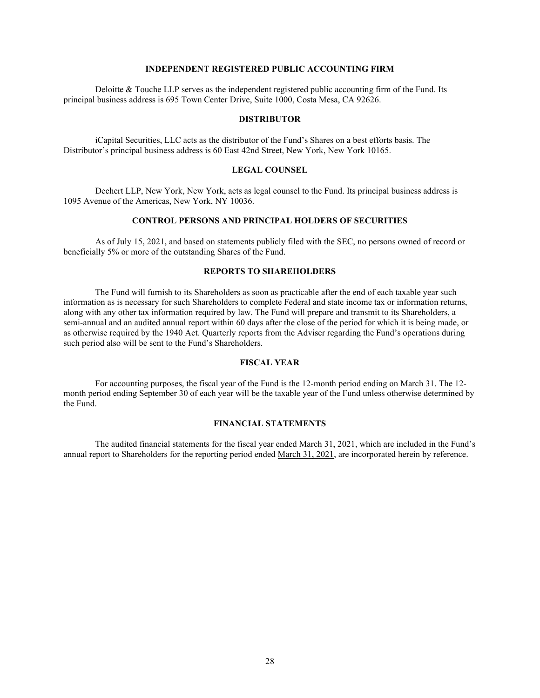# **INDEPENDENT REGISTERED PUBLIC ACCOUNTING FIRM**

<span id="page-28-0"></span>Deloitte & Touche LLP serves as the independent registered public accounting firm of the Fund. Its principal business address is 695 Town Center Drive, Suite 1000, Costa Mesa, CA 92626.

## **DISTRIBUTOR**

<span id="page-28-1"></span>iCapital Securities, LLC acts as the distributor of the Fund's Shares on a best efforts basis. The Distributor's principal business address is 60 East 42nd Street, New York, New York 10165.

## **LEGAL COUNSEL**

<span id="page-28-2"></span>Dechert LLP, New York, New York, acts as legal counsel to the Fund. Its principal business address is 1095 Avenue of the Americas, New York, NY 10036.

## **CONTROL PERSONS AND PRINCIPAL HOLDERS OF SECURITIES**

<span id="page-28-3"></span>As of July 15, 2021, and based on statements publicly filed with the SEC, no persons owned of record or beneficially 5% or more of the outstanding Shares of the Fund.

# **REPORTS TO SHAREHOLDERS**

<span id="page-28-4"></span>The Fund will furnish to its Shareholders as soon as practicable after the end of each taxable year such information as is necessary for such Shareholders to complete Federal and state income tax or information returns, along with any other tax information required by law. The Fund will prepare and transmit to its Shareholders, a semi-annual and an audited annual report within 60 days after the close of the period for which it is being made, or as otherwise required by the 1940 Act. Quarterly reports from the Adviser regarding the Fund's operations during such period also will be sent to the Fund's Shareholders.

## **FISCAL YEAR**

<span id="page-28-5"></span>For accounting purposes, the fiscal year of the Fund is the 12-month period ending on March 31. The 12 month period ending September 30 of each year will be the taxable year of the Fund unless otherwise determined by the Fund.

## **FINANCIAL STATEMENTS**

<span id="page-28-6"></span>The audited financial statements for the fiscal year ended March 31, 2021, which are included in the Fund's annual report to Shareholders for the reporting period ended March 31, 2021, are incorporated herein by reference.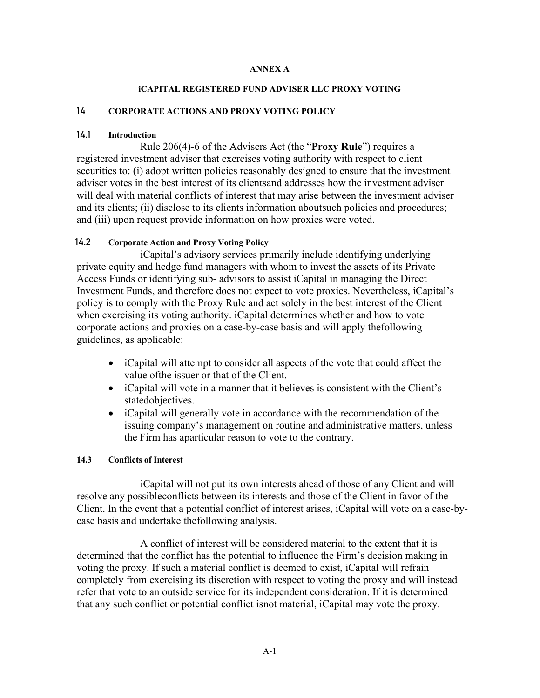# **ANNEX A**

# **iCAPITAL REGISTERED FUND ADVISER LLC PROXY VOTING**

# <span id="page-29-0"></span>14 **CORPORATE ACTIONS AND PROXY VOTING POLICY**

# 14.1 **Introduction**

Rule 206(4)-6 of the Advisers Act (the "**Proxy Rule**") requires a registered investment adviser that exercises voting authority with respect to client securities to: (i) adopt written policies reasonably designed to ensure that the investment adviser votes in the best interest of its clientsand addresses how the investment adviser will deal with material conflicts of interest that may arise between the investment adviser and its clients; (ii) disclose to its clients information aboutsuch policies and procedures; and (iii) upon request provide information on how proxies were voted.

# 14.2 **Corporate Action and Proxy Voting Policy**

iCapital's advisory services primarily include identifying underlying private equity and hedge fund managers with whom to invest the assets of its Private Access Funds or identifying sub- advisors to assist iCapital in managing the Direct Investment Funds, and therefore does not expect to vote proxies. Nevertheless, iCapital's policy is to comply with the Proxy Rule and act solely in the best interest of the Client when exercising its voting authority. iCapital determines whether and how to vote corporate actions and proxies on a case-by-case basis and will apply thefollowing guidelines, as applicable:

- iCapital will attempt to consider all aspects of the vote that could affect the value ofthe issuer or that of the Client.
- iCapital will vote in a manner that it believes is consistent with the Client's statedobjectives.
- iCapital will generally vote in accordance with the recommendation of the issuing company's management on routine and administrative matters, unless the Firm has aparticular reason to vote to the contrary.

# **14.3 Conflicts of Interest**

iCapital will not put its own interests ahead of those of any Client and will resolve any possibleconflicts between its interests and those of the Client in favor of the Client. In the event that a potential conflict of interest arises, iCapital will vote on a case-bycase basis and undertake thefollowing analysis.

A conflict of interest will be considered material to the extent that it is determined that the conflict has the potential to influence the Firm's decision making in voting the proxy. If such a material conflict is deemed to exist, iCapital will refrain completely from exercising its discretion with respect to voting the proxy and will instead refer that vote to an outside service for its independent consideration. If it is determined that any such conflict or potential conflict isnot material, iCapital may vote the proxy.